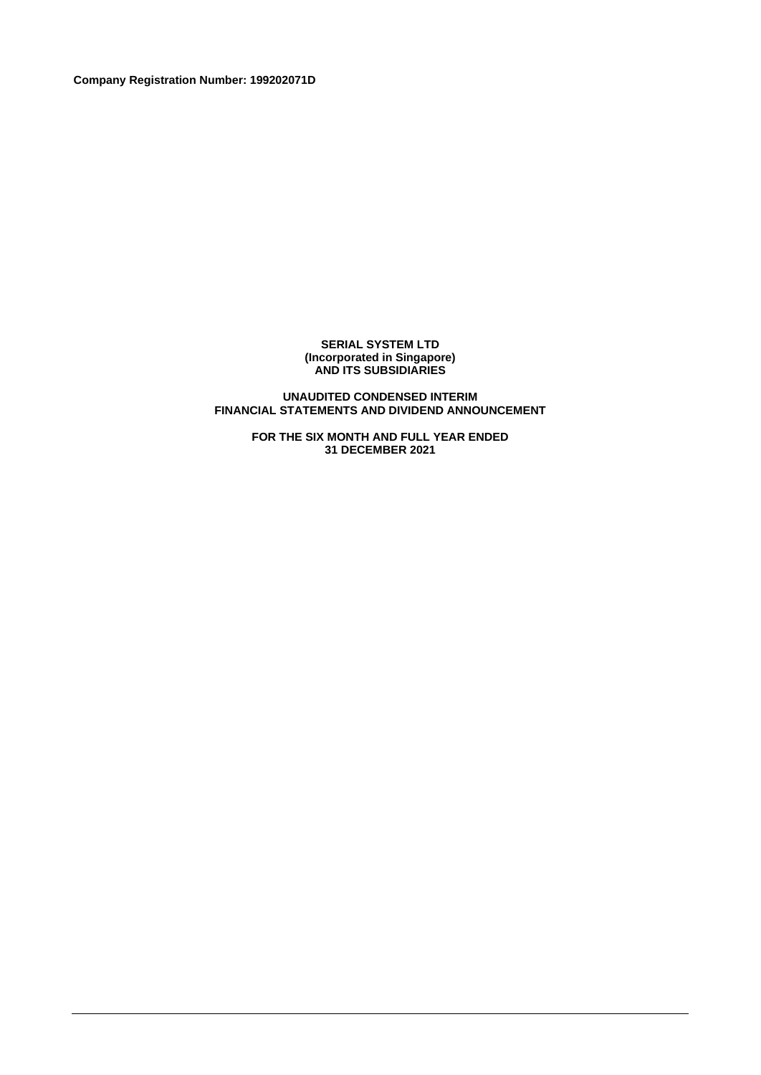**Company Registration Number: 199202071D**

#### **SERIAL SYSTEM LTD (Incorporated in Singapore) AND ITS SUBSIDIARIES**

### **UNAUDITED CONDENSED INTERIM FINANCIAL STATEMENTS AND DIVIDEND ANNOUNCEMENT**

**FOR THE SIX MONTH AND FULL YEAR ENDED 31 DECEMBER 2021**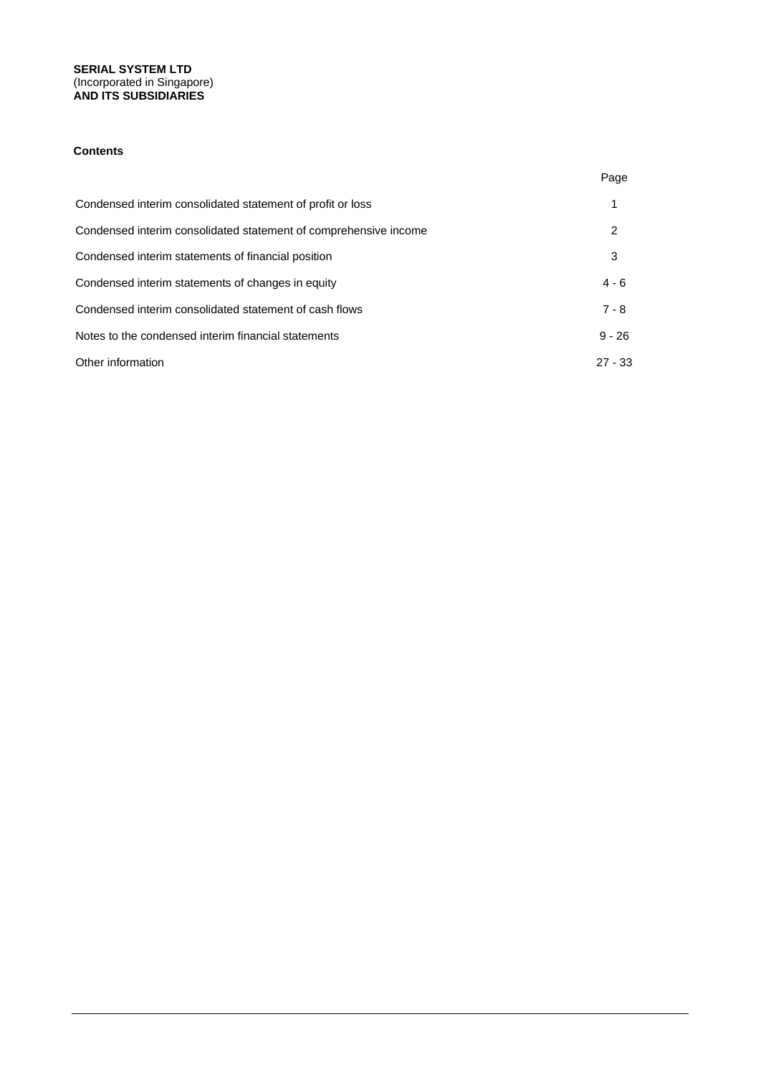### **SERIAL SYSTEM LTD** (Incorporated in Singapore) **AND ITS SUBSIDIARIES**

### **Contents**

|                                                                  | Page      |
|------------------------------------------------------------------|-----------|
| Condensed interim consolidated statement of profit or loss       |           |
| Condensed interim consolidated statement of comprehensive income | 2         |
| Condensed interim statements of financial position               | 3         |
| Condensed interim statements of changes in equity                | $4 - 6$   |
| Condensed interim consolidated statement of cash flows           | $7 - 8$   |
| Notes to the condensed interim financial statements              | $9 - 26$  |
| Other information                                                | $27 - 33$ |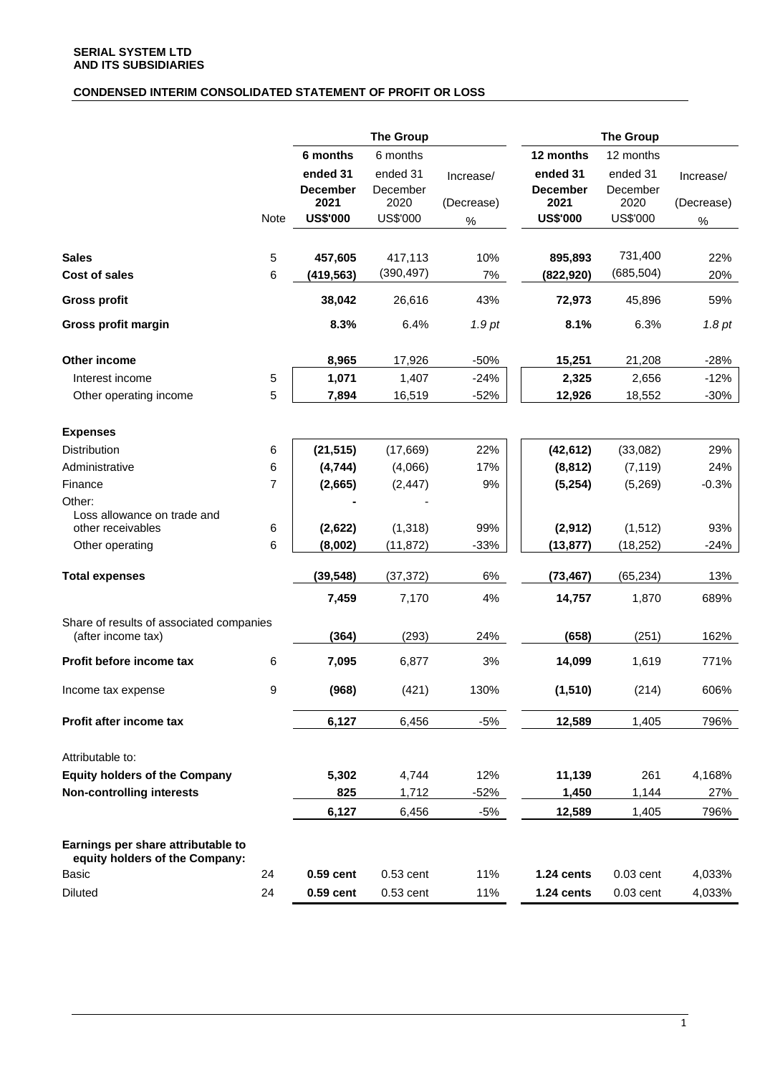# **CONDENSED INTERIM CONSOLIDATED STATEMENT OF PROFIT OR LOSS**

|                                                                      |             |                             | <b>The Group</b>     |            |                             | <b>The Group</b>     |            |
|----------------------------------------------------------------------|-------------|-----------------------------|----------------------|------------|-----------------------------|----------------------|------------|
|                                                                      |             | 6 months                    | 6 months             |            | 12 months                   | 12 months            |            |
|                                                                      |             | ended 31<br><b>December</b> | ended 31<br>December | Increase/  | ended 31<br><b>December</b> | ended 31<br>December | Increase/  |
|                                                                      |             | 2021                        | 2020                 | (Decrease) | 2021                        | 2020                 | (Decrease) |
|                                                                      | <b>Note</b> | <b>US\$'000</b>             | US\$'000             | $\%$       | <b>US\$'000</b>             | <b>US\$'000</b>      | $\%$       |
|                                                                      |             |                             |                      |            |                             |                      |            |
| <b>Sales</b>                                                         | 5           | 457,605                     | 417,113              | 10%        | 895,893                     | 731,400              | 22%        |
| Cost of sales                                                        | 6           | (419,563)                   | (390, 497)           | 7%         | (822,920)                   | (685, 504)           | 20%        |
| <b>Gross profit</b>                                                  |             | 38,042                      | 26,616               | 43%        | 72,973                      | 45,896               | 59%        |
| Gross profit margin                                                  |             | 8.3%                        | 6.4%                 | 1.9pt      | 8.1%                        | 6.3%                 | 1.8pt      |
| Other income                                                         |             | 8,965                       | 17,926               | $-50%$     | 15,251                      | 21,208               | $-28%$     |
| Interest income                                                      | 5           | 1,071                       | 1,407                | $-24%$     | 2,325                       | 2,656                | $-12%$     |
| Other operating income                                               | 5           | 7,894                       | 16,519               | $-52%$     | 12,926                      | 18,552               | $-30%$     |
|                                                                      |             |                             |                      |            |                             |                      |            |
| <b>Expenses</b>                                                      |             |                             |                      |            |                             |                      |            |
| <b>Distribution</b>                                                  | 6           | (21, 515)                   | (17,669)             | 22%        | (42, 612)                   | (33,082)             | 29%        |
| Administrative                                                       | 6           | (4, 744)                    | (4,066)              | 17%        | (8, 812)                    | (7, 119)             | 24%        |
| Finance                                                              | 7           | (2,665)                     | (2, 447)             | 9%         | (5,254)                     | (5,269)              | $-0.3%$    |
| Other:<br>Loss allowance on trade and                                |             |                             |                      |            |                             |                      |            |
| other receivables                                                    | 6           | (2,622)                     | (1, 318)             | 99%        | (2, 912)                    | (1, 512)             | 93%        |
| Other operating                                                      | 6           | (8,002)                     | (11, 872)            | $-33%$     | (13, 877)                   | (18, 252)            | $-24%$     |
| <b>Total expenses</b>                                                |             | (39, 548)                   | (37, 372)            | $6\%$      | (73, 467)                   | (65, 234)            | 13%        |
|                                                                      |             | 7,459                       | 7,170                | 4%         | 14,757                      | 1,870                | 689%       |
| Share of results of associated companies                             |             |                             |                      |            |                             |                      |            |
| (after income tax)                                                   |             | (364)                       | (293)                | 24%        | (658)                       | (251)                | 162%       |
| Profit before income tax                                             | 6           | 7,095                       | 6,877                | 3%         | 14,099                      | 1,619                | 771%       |
| Income tax expense                                                   | 9           | (968)                       | (421)                | 130%       | (1, 510)                    | (214)                | 606%       |
| Profit after income tax                                              |             | 6,127                       | 6,456                | $-5%$      | 12,589                      | 1,405                | 796%       |
| Attributable to:                                                     |             |                             |                      |            |                             |                      |            |
| <b>Equity holders of the Company</b>                                 |             | 5,302                       | 4,744                | 12%        | 11,139                      | 261                  | 4,168%     |
| <b>Non-controlling interests</b>                                     |             | 825                         | 1,712                | -52%       | 1,450                       | 1,144                | 27%        |
|                                                                      |             | 6,127                       | 6,456                | $-5%$      | 12,589                      | 1,405                | 796%       |
|                                                                      |             |                             |                      |            |                             |                      |            |
| Earnings per share attributable to<br>equity holders of the Company: |             |                             |                      |            |                             |                      |            |
| <b>Basic</b>                                                         | 24          | 0.59 cent                   | $0.53$ cent          | 11%        | 1.24 cents                  | $0.03$ cent          | 4,033%     |
| <b>Diluted</b>                                                       | 24          | 0.59 cent                   | $0.53$ cent          | 11%        | 1.24 cents                  | $0.03$ cent          | 4,033%     |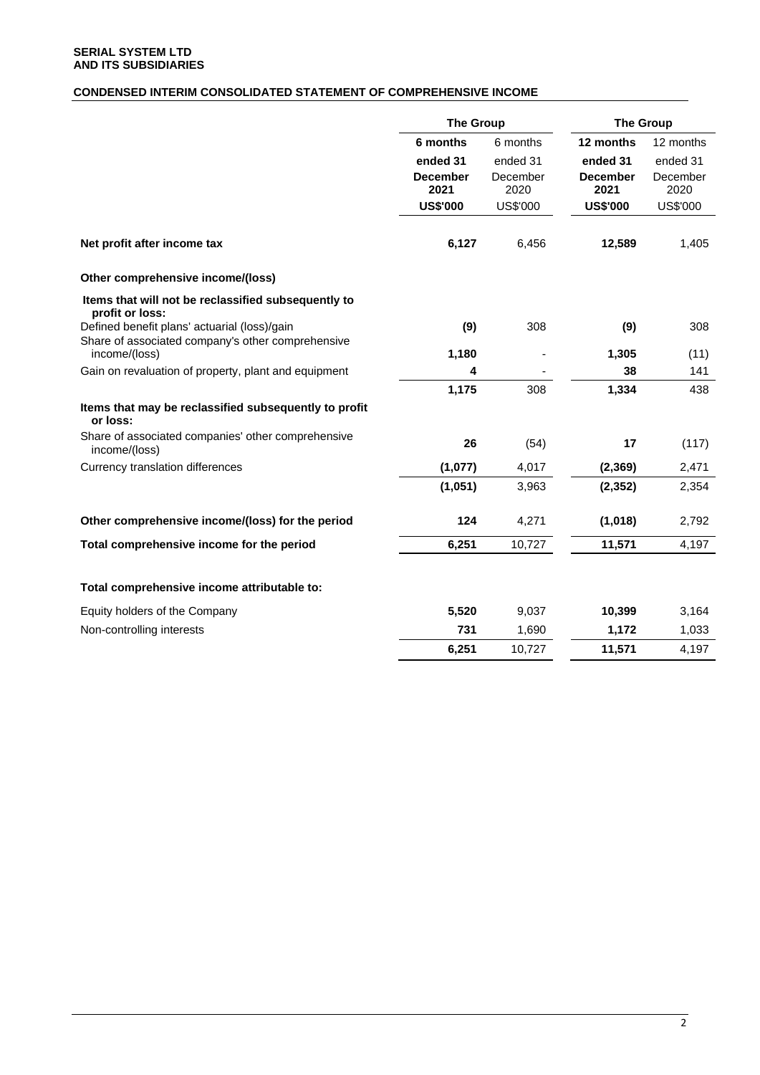# **CONDENSED INTERIM CONSOLIDATED STATEMENT OF COMPREHENSIVE INCOME**

|                                                                        | <b>The Group</b>        |                  | <b>The Group</b>        |                  |  |
|------------------------------------------------------------------------|-------------------------|------------------|-------------------------|------------------|--|
|                                                                        | 6 months                | 6 months         | 12 months               | 12 months        |  |
|                                                                        | ended 31                | ended 31         | ended 31                | ended 31         |  |
|                                                                        | <b>December</b><br>2021 | December<br>2020 | <b>December</b><br>2021 | December<br>2020 |  |
|                                                                        | <b>US\$'000</b>         | <b>US\$'000</b>  | <b>US\$'000</b>         | US\$'000         |  |
| Net profit after income tax                                            | 6,127                   | 6,456            | 12,589                  | 1,405            |  |
| Other comprehensive income/(loss)                                      |                         |                  |                         |                  |  |
| Items that will not be reclassified subsequently to<br>profit or loss: |                         |                  |                         |                  |  |
| Defined benefit plans' actuarial (loss)/gain                           | (9)                     | 308              | (9)                     | 308              |  |
| Share of associated company's other comprehensive<br>income/(loss)     | 1,180                   |                  | 1,305                   | (11)             |  |
| Gain on revaluation of property, plant and equipment                   | 4                       |                  | 38                      | 141              |  |
|                                                                        | 1,175                   | 308              | 1,334                   | 438              |  |
| Items that may be reclassified subsequently to profit<br>or loss:      |                         |                  |                         |                  |  |
| Share of associated companies' other comprehensive<br>income/(loss)    | 26                      | (54)             | 17                      | (117)            |  |
| Currency translation differences                                       | (1,077)                 | 4,017            | (2, 369)                | 2,471            |  |
|                                                                        | (1,051)                 | 3,963            | (2, 352)                | 2,354            |  |
| Other comprehensive income/(loss) for the period                       | 124                     | 4,271            | (1,018)                 | 2,792            |  |
| Total comprehensive income for the period                              | 6,251                   | 10,727           | 11,571                  | 4,197            |  |
| Total comprehensive income attributable to:                            |                         |                  |                         |                  |  |
| Equity holders of the Company                                          | 5,520                   | 9,037            | 10,399                  | 3,164            |  |
| Non-controlling interests                                              | 731                     | 1,690            | 1,172                   | 1,033            |  |
|                                                                        | 6,251                   | 10,727           | 11,571                  | 4,197            |  |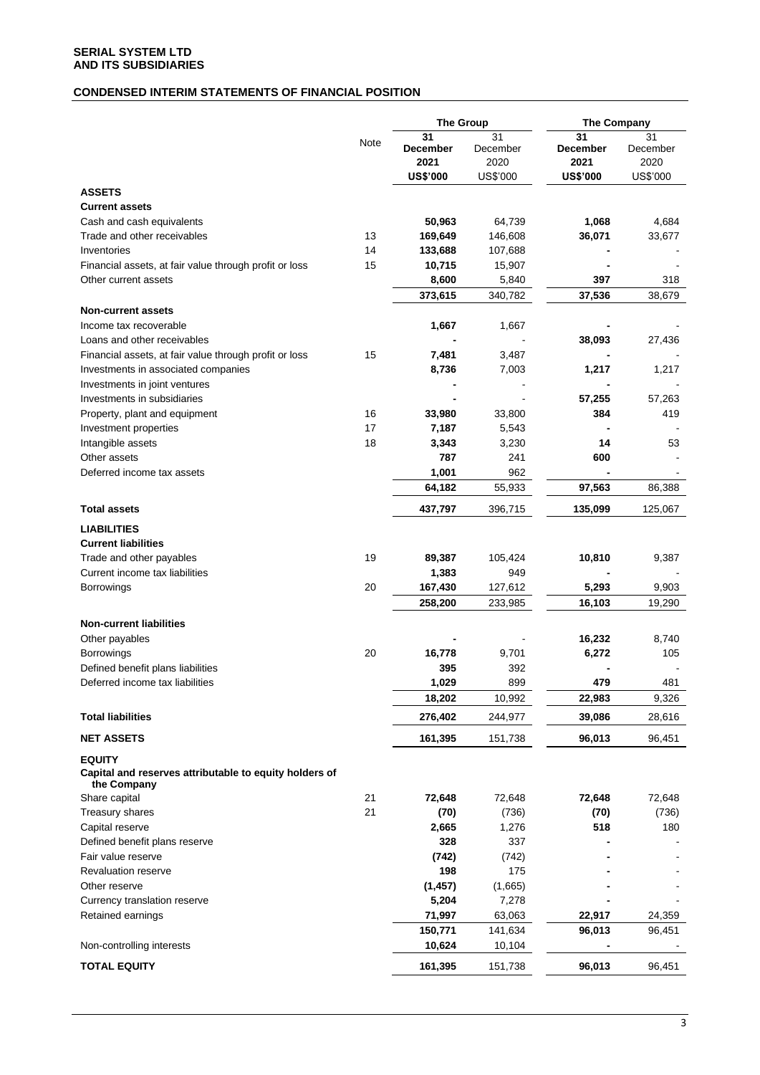## **CONDENSED INTERIM STATEMENTS OF FINANCIAL POSITION**

|                                                                                        |      | <b>The Group</b>       |                        | <b>The Company</b>     |                        |
|----------------------------------------------------------------------------------------|------|------------------------|------------------------|------------------------|------------------------|
|                                                                                        | Note | 31<br>December<br>2021 | 31<br>December<br>2020 | 31<br>December<br>2021 | 31<br>December<br>2020 |
|                                                                                        |      | <b>US\$'000</b>        | US\$'000               | <b>US\$'000</b>        | US\$'000               |
| <b>ASSETS</b>                                                                          |      |                        |                        |                        |                        |
| <b>Current assets</b>                                                                  |      |                        |                        |                        |                        |
| Cash and cash equivalents                                                              |      | 50,963                 | 64,739                 | 1,068                  | 4,684                  |
| Trade and other receivables                                                            | 13   | 169,649                | 146,608                | 36,071                 | 33,677                 |
| Inventories                                                                            | 14   | 133,688                | 107,688                |                        |                        |
| Financial assets, at fair value through profit or loss                                 | 15   | 10,715                 | 15,907                 |                        |                        |
| Other current assets                                                                   |      | 8,600                  | 5,840                  | 397                    | 318                    |
|                                                                                        |      | 373,615                | 340,782                | 37,536                 | 38,679                 |
| <b>Non-current assets</b>                                                              |      |                        |                        |                        |                        |
| Income tax recoverable                                                                 |      | 1,667                  | 1,667                  |                        |                        |
| Loans and other receivables                                                            |      |                        |                        | 38,093                 | 27,436                 |
| Financial assets, at fair value through profit or loss                                 | 15   | 7,481                  | 3,487                  |                        |                        |
| Investments in associated companies                                                    |      | 8,736                  | 7,003                  | 1,217                  | 1,217                  |
| Investments in joint ventures                                                          |      |                        |                        |                        |                        |
| Investments in subsidiaries                                                            |      |                        |                        | 57,255                 | 57,263                 |
| Property, plant and equipment                                                          | 16   | 33,980                 | 33,800                 | 384                    | 419                    |
| Investment properties                                                                  | 17   | 7,187                  | 5,543                  |                        |                        |
| Intangible assets                                                                      | 18   | 3,343                  | 3,230                  | 14                     | 53                     |
| Other assets<br>Deferred income tax assets                                             |      | 787<br>1,001           | 241<br>962             | 600                    |                        |
|                                                                                        |      | 64,182                 | 55,933                 | 97,563                 | 86,388                 |
| <b>Total assets</b>                                                                    |      | 437,797                | 396,715                | 135,099                | 125,067                |
|                                                                                        |      |                        |                        |                        |                        |
| <b>LIABILITIES</b>                                                                     |      |                        |                        |                        |                        |
| <b>Current liabilities</b>                                                             |      |                        |                        |                        |                        |
| Trade and other payables                                                               | 19   | 89,387                 | 105,424                | 10,810                 | 9,387                  |
| Current income tax liabilities                                                         |      | 1,383                  | 949                    |                        |                        |
| <b>Borrowings</b>                                                                      | 20   | 167,430                | 127,612                | 5,293                  | 9,903                  |
|                                                                                        |      | 258,200                | 233,985                | 16,103                 | 19,290                 |
| <b>Non-current liabilities</b>                                                         |      |                        |                        |                        |                        |
| Other payables                                                                         |      |                        |                        | 16,232                 | 8,740                  |
| <b>Borrowings</b>                                                                      | 20   | 16,778                 | 9,701                  | 6,272                  | 105                    |
| Defined benefit plans liabilities                                                      |      | 395                    | 392                    |                        |                        |
| Deferred income tax liabilities                                                        |      | 1,029                  | 899                    | 479                    | 481                    |
|                                                                                        |      | 18,202                 | 10,992                 | 22,983                 | 9,326                  |
| <b>Total liabilities</b>                                                               |      | 276,402                | 244,977                | 39,086                 | 28,616                 |
| <b>NET ASSETS</b>                                                                      |      | 161,395                | 151,738                | 96,013                 | 96,451                 |
| <b>EQUITY</b><br>Capital and reserves attributable to equity holders of<br>the Company |      |                        |                        |                        |                        |
| Share capital                                                                          | 21   | 72,648                 | 72,648                 | 72,648                 | 72,648                 |
| Treasury shares                                                                        | 21   | (70)                   | (736)                  | (70)                   | (736)                  |
| Capital reserve                                                                        |      | 2,665                  | 1,276                  | 518                    | 180                    |
| Defined benefit plans reserve                                                          |      | 328                    | 337                    |                        |                        |
| Fair value reserve                                                                     |      | (742)                  | (742)                  |                        |                        |
| Revaluation reserve                                                                    |      | 198                    | 175                    |                        |                        |
| Other reserve                                                                          |      | (1, 457)               | (1,665)                |                        |                        |
| Currency translation reserve                                                           |      | 5,204                  | 7,278                  |                        |                        |
| Retained earnings                                                                      |      | 71,997                 | 63,063                 | 22,917                 | 24,359                 |
|                                                                                        |      | 150,771                | 141,634                | 96,013                 | 96,451                 |
| Non-controlling interests                                                              |      | 10,624                 | 10,104                 |                        |                        |
| <b>TOTAL EQUITY</b>                                                                    |      | 161,395                | 151,738                | 96,013                 | 96,451                 |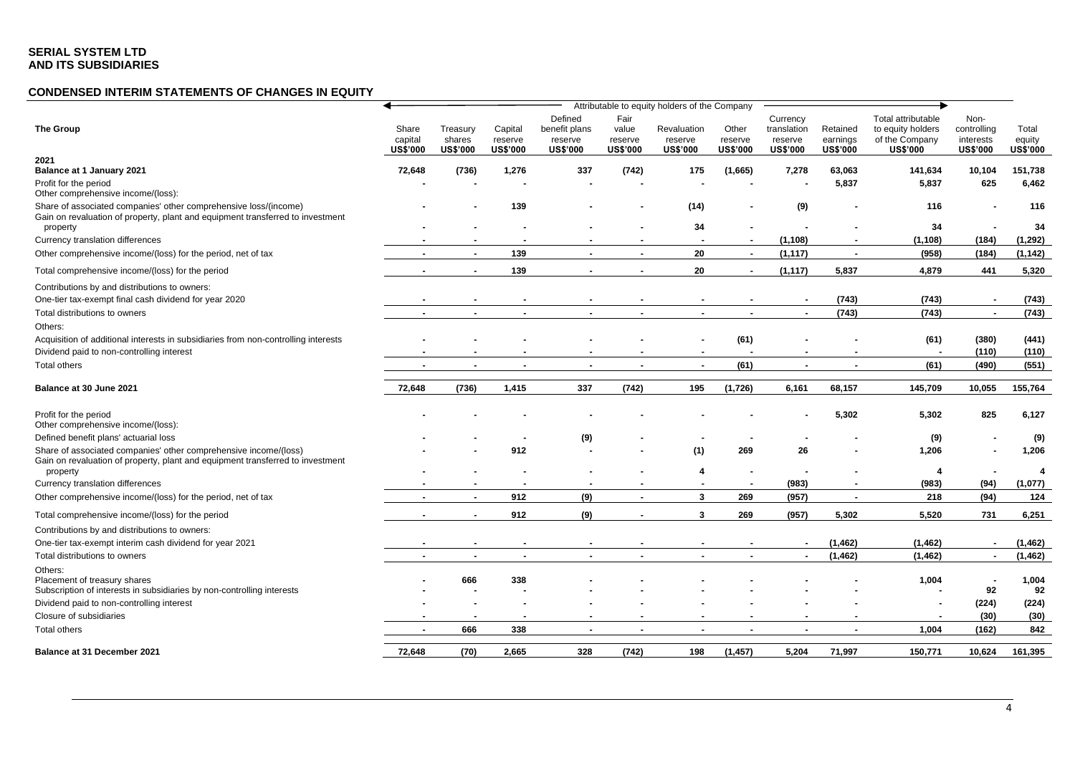# **CONDENSED INTERIM STATEMENTS OF CHANGES IN EQUITY**

|                                                                                                                                                    |                                     |                                       |                                       |                                                        |                                             | Attributable to equity holders of the Company |                                     |                                                       |                                         |                                                                              |                                                     |                                    |
|----------------------------------------------------------------------------------------------------------------------------------------------------|-------------------------------------|---------------------------------------|---------------------------------------|--------------------------------------------------------|---------------------------------------------|-----------------------------------------------|-------------------------------------|-------------------------------------------------------|-----------------------------------------|------------------------------------------------------------------------------|-----------------------------------------------------|------------------------------------|
| The Group                                                                                                                                          | Share<br>capital<br><b>US\$'000</b> | Treasury<br>shares<br><b>US\$'000</b> | Capital<br>reserve<br><b>US\$'000</b> | Defined<br>benefit plans<br>reserve<br><b>US\$'000</b> | Fair<br>value<br>reserve<br><b>US\$'000</b> | Revaluation<br>reserve<br><b>US\$'000</b>     | Other<br>reserve<br><b>US\$'000</b> | Currency<br>translation<br>reserve<br><b>US\$'000</b> | Retained<br>earnings<br><b>US\$'000</b> | Total attributable<br>to equity holders<br>of the Company<br><b>US\$'000</b> | Non-<br>controlling<br>interests<br><b>US\$'000</b> | Total<br>equity<br><b>US\$'000</b> |
| 2021                                                                                                                                               |                                     |                                       |                                       |                                                        |                                             |                                               |                                     |                                                       |                                         |                                                                              |                                                     |                                    |
| Balance at 1 January 2021                                                                                                                          | 72,648                              | (736)                                 | 1,276                                 | 337                                                    | (742)                                       | 175                                           | (1,665)                             | 7,278                                                 | 63,063                                  | 141,634                                                                      | 10,104                                              | 151,738                            |
| Profit for the period<br>Other comprehensive income/(loss):                                                                                        |                                     |                                       |                                       |                                                        |                                             |                                               |                                     |                                                       | 5,837                                   | 5,837                                                                        | 625                                                 | 6,462                              |
| Share of associated companies' other comprehensive loss/(income)<br>Gain on revaluation of property, plant and equipment transferred to investment |                                     |                                       | 139                                   |                                                        |                                             | (14)                                          |                                     | (9)                                                   |                                         | 116                                                                          |                                                     | 116                                |
| property                                                                                                                                           |                                     |                                       |                                       |                                                        |                                             | 34                                            |                                     |                                                       |                                         | 34                                                                           |                                                     | 34                                 |
| Currency translation differences                                                                                                                   |                                     |                                       |                                       |                                                        |                                             |                                               |                                     | (1, 108)                                              |                                         | (1, 108)                                                                     | (184)                                               | (1, 292)                           |
| Other comprehensive income/(loss) for the period, net of tax                                                                                       |                                     | $\sim$                                | 139                                   | $\blacksquare$                                         | $\blacksquare$                              | 20                                            | $\sim$                              | (1, 117)                                              | $\blacksquare$                          | (958)                                                                        | (184)                                               | (1, 142)                           |
| Total comprehensive income/(loss) for the period                                                                                                   |                                     | $\blacksquare$                        | 139                                   | ٠                                                      | $\blacksquare$                              | 20                                            | $\blacksquare$                      | (1, 117)                                              | 5,837                                   | 4,879                                                                        | 441                                                 | 5,320                              |
| Contributions by and distributions to owners:                                                                                                      |                                     |                                       |                                       |                                                        |                                             |                                               |                                     |                                                       |                                         |                                                                              |                                                     |                                    |
| One-tier tax-exempt final cash dividend for year 2020                                                                                              |                                     |                                       |                                       |                                                        |                                             |                                               |                                     |                                                       | (743)                                   | (743)                                                                        | $\blacksquare$                                      | (743)                              |
| Total distributions to owners                                                                                                                      |                                     | $\sim$                                | $\blacksquare$                        | $\blacksquare$                                         | $\blacksquare$                              | $\sim$                                        | $\blacksquare$                      | $\blacksquare$                                        | (743)                                   | (743)                                                                        | $\sim$                                              | (743)                              |
| Others:                                                                                                                                            |                                     |                                       |                                       |                                                        |                                             |                                               |                                     |                                                       |                                         |                                                                              |                                                     |                                    |
| Acquisition of additional interests in subsidiaries from non-controlling interests                                                                 |                                     |                                       |                                       |                                                        |                                             |                                               | (61)                                |                                                       |                                         | (61)                                                                         | (380)                                               | (441)                              |
| Dividend paid to non-controlling interest                                                                                                          |                                     |                                       |                                       |                                                        |                                             |                                               |                                     |                                                       |                                         |                                                                              | (110)                                               | (110)                              |
| <b>Total others</b>                                                                                                                                |                                     |                                       | $\blacksquare$                        | $\overline{\phantom{a}}$                               | $\overline{\phantom{a}}$                    | $\blacksquare$                                | (61)                                | $\blacksquare$                                        | $\blacksquare$                          | (61)                                                                         | (490)                                               | (551)                              |
| Balance at 30 June 2021                                                                                                                            | 72,648                              | (736)                                 | 1,415                                 | 337                                                    | (742)                                       | 195                                           | (1,726)                             | 6,161                                                 | 68,157                                  | 145,709                                                                      | 10,055                                              | 155,764                            |
| Profit for the period<br>Other comprehensive income/(loss):                                                                                        |                                     |                                       |                                       |                                                        |                                             |                                               |                                     |                                                       | 5,302                                   | 5,302                                                                        | 825                                                 | 6,127                              |
| Defined benefit plans' actuarial loss                                                                                                              |                                     |                                       |                                       | (9)                                                    |                                             |                                               |                                     |                                                       |                                         | (9)                                                                          |                                                     | (9)                                |
| Share of associated companies' other comprehensive income/(loss)<br>Gain on revaluation of property, plant and equipment transferred to investment |                                     |                                       | 912                                   |                                                        |                                             | (1)                                           | 269                                 | 26                                                    |                                         | 1,206                                                                        |                                                     | 1,206                              |
| property                                                                                                                                           |                                     |                                       |                                       |                                                        |                                             | 4                                             |                                     |                                                       |                                         | 4                                                                            | $\overline{\phantom{a}}$                            |                                    |
| Currency translation differences                                                                                                                   |                                     |                                       |                                       |                                                        |                                             |                                               | $\overline{\phantom{a}}$            | (983)                                                 |                                         | (983)                                                                        | (94)                                                | (1,077)                            |
| Other comprehensive income/(loss) for the period, net of tax                                                                                       |                                     |                                       | 912                                   | (9)                                                    | $\blacksquare$                              | 3                                             | 269                                 | (957)                                                 | $\sim$                                  | 218                                                                          | (94)                                                | 124                                |
| Total comprehensive income/(loss) for the period                                                                                                   |                                     | $\sim$                                | 912                                   | (9)                                                    |                                             | 3                                             | 269                                 | (957)                                                 | 5,302                                   | 5,520                                                                        | 731                                                 | 6,251                              |
| Contributions by and distributions to owners:                                                                                                      |                                     |                                       |                                       |                                                        |                                             |                                               |                                     |                                                       |                                         |                                                                              |                                                     |                                    |
| One-tier tax-exempt interim cash dividend for year 2021                                                                                            |                                     |                                       |                                       |                                                        |                                             |                                               |                                     | $\blacksquare$                                        | (1, 462)                                | (1, 462)                                                                     | $\blacksquare$                                      | (1, 462)                           |
| Total distributions to owners                                                                                                                      |                                     |                                       |                                       |                                                        |                                             |                                               |                                     |                                                       | (1, 462)                                | (1, 462)                                                                     | $\blacksquare$                                      | (1, 462)                           |
| Others:<br>Placement of treasury shares<br>Subscription of interests in subsidiaries by non-controlling interests                                  |                                     | 666                                   | 338                                   |                                                        |                                             |                                               |                                     |                                                       |                                         | 1,004                                                                        | 92                                                  | 1,004<br>92                        |
| Dividend paid to non-controlling interest                                                                                                          |                                     |                                       |                                       |                                                        |                                             |                                               |                                     |                                                       |                                         |                                                                              | (224)                                               | (224)                              |
| Closure of subsidiaries                                                                                                                            |                                     |                                       |                                       |                                                        |                                             |                                               |                                     |                                                       |                                         |                                                                              | (30)                                                | (30)                               |
| <b>Total others</b>                                                                                                                                |                                     | 666                                   | 338                                   | $\blacksquare$                                         | $\blacksquare$                              |                                               | $\blacksquare$                      |                                                       | ۰                                       | 1,004                                                                        | (162)                                               | 842                                |
| Balance at 31 December 2021                                                                                                                        | 72,648                              | (70)                                  | 2,665                                 | 328                                                    | (742)                                       | 198                                           | (1, 457)                            | 5,204                                                 | 71,997                                  | 150,771                                                                      | 10,624                                              | 161,395                            |
|                                                                                                                                                    |                                     |                                       |                                       |                                                        |                                             |                                               |                                     |                                                       |                                         |                                                                              |                                                     |                                    |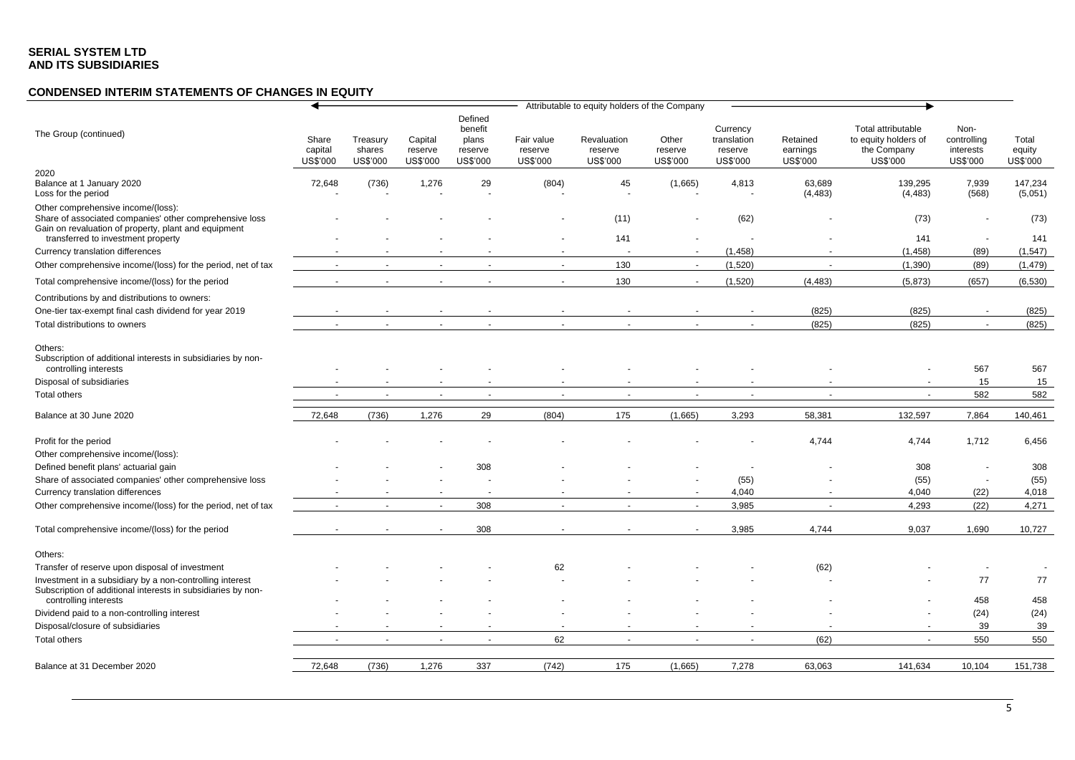# **CONDENSED INTERIM STATEMENTS OF CHANGES IN EQUITY**

|                                                                                                                                                       |                              |                                |                                |                                                    |                                   | Attributable to equity holders of the Company |                              |                                                |                                  |                                                                       |                                              |                             |
|-------------------------------------------------------------------------------------------------------------------------------------------------------|------------------------------|--------------------------------|--------------------------------|----------------------------------------------------|-----------------------------------|-----------------------------------------------|------------------------------|------------------------------------------------|----------------------------------|-----------------------------------------------------------------------|----------------------------------------------|-----------------------------|
| The Group (continued)                                                                                                                                 | Share<br>capital<br>US\$'000 | Treasury<br>shares<br>US\$'000 | Capital<br>reserve<br>US\$'000 | Defined<br>benefit<br>plans<br>reserve<br>US\$'000 | Fair value<br>reserve<br>US\$'000 | Revaluation<br>reserve<br>US\$'000            | Other<br>reserve<br>US\$'000 | Currency<br>translation<br>reserve<br>US\$'000 | Retained<br>earnings<br>US\$'000 | Total attributable<br>to equity holders of<br>the Company<br>US\$'000 | Non-<br>controlling<br>interests<br>US\$'000 | Total<br>equity<br>US\$'000 |
| 2020<br>Balance at 1 January 2020<br>Loss for the period                                                                                              | 72,648                       | (736)                          | 1,276                          | 29                                                 | (804)                             | 45                                            | (1,665)                      | 4,813                                          | 63,689<br>(4, 483)               | 139,295<br>(4, 483)                                                   | 7,939<br>(568)                               | 147,234<br>(5,051)          |
| Other comprehensive income/(loss):<br>Share of associated companies' other comprehensive loss<br>Gain on revaluation of property, plant and equipment |                              |                                |                                |                                                    |                                   | (11)                                          |                              | (62)                                           |                                  | (73)                                                                  |                                              | (73)                        |
| transferred to investment property                                                                                                                    |                              |                                |                                |                                                    |                                   | 141<br>$\sim$                                 | $\sim$                       |                                                |                                  | 141                                                                   |                                              | 141                         |
| Currency translation differences                                                                                                                      |                              | $\sim$                         | ÷.                             | $\sim$                                             | $\sim$                            |                                               | $\sim$                       | (1,458)                                        |                                  | (1,458)                                                               | (89)                                         | (1, 547)                    |
| Other comprehensive income/(loss) for the period, net of tax                                                                                          | $\overline{a}$               |                                |                                |                                                    |                                   | 130                                           |                              | (1,520)                                        |                                  | (1,390)                                                               | (89)                                         | (1, 479)                    |
| Total comprehensive income/(loss) for the period                                                                                                      |                              |                                |                                |                                                    |                                   | 130                                           | $\sim$                       | (1,520)                                        | (4, 483)                         | (5,873)                                                               | (657)                                        | (6, 530)                    |
| Contributions by and distributions to owners:<br>One-tier tax-exempt final cash dividend for year 2019                                                |                              |                                |                                |                                                    |                                   |                                               |                              |                                                | (825)                            | (825)                                                                 |                                              | (825)                       |
| Total distributions to owners                                                                                                                         |                              |                                |                                |                                                    |                                   |                                               |                              |                                                | (825)                            | (825)                                                                 |                                              | (825)                       |
| Others:<br>Subscription of additional interests in subsidiaries by non-<br>controlling interests<br>Disposal of subsidiaries<br>Total others          |                              |                                |                                |                                                    |                                   |                                               |                              | $\ddot{\phantom{1}}$                           |                                  |                                                                       | 567<br>15<br>582                             | 567<br>15<br>582            |
| Balance at 30 June 2020                                                                                                                               | 72,648                       | (736)                          | 1,276                          | 29                                                 | (804)                             | 175                                           | (1,665)                      | 3,293                                          | 58,381                           | 132,597                                                               | 7,864                                        | 140,461                     |
| Profit for the period<br>Other comprehensive income/(loss):<br>Defined benefit plans' actuarial gain                                                  |                              |                                |                                | 308                                                |                                   |                                               |                              |                                                | 4,744                            | 4,744<br>308                                                          | 1,712                                        | 6,456<br>308                |
| Share of associated companies' other comprehensive loss                                                                                               |                              |                                |                                |                                                    |                                   |                                               |                              | (55)                                           |                                  | (55)                                                                  |                                              | (55)                        |
| Currency translation differences                                                                                                                      |                              |                                |                                |                                                    |                                   |                                               |                              | 4,040                                          |                                  | 4,040                                                                 | (22)                                         | 4,018                       |
| Other comprehensive income/(loss) for the period, net of tax                                                                                          |                              | $\sim$                         | $\sim$                         | 308                                                |                                   | $\sim$                                        | $\sim$                       | 3,985                                          | $\sim$                           | 4,293                                                                 | (22)                                         | 4,271                       |
| Total comprehensive income/(loss) for the period                                                                                                      |                              |                                |                                | 308                                                |                                   |                                               |                              | 3,985                                          | 4,744                            | 9,037                                                                 | 1,690                                        | 10,727                      |
| Others:                                                                                                                                               |                              |                                |                                |                                                    |                                   |                                               |                              |                                                |                                  |                                                                       |                                              |                             |
| Transfer of reserve upon disposal of investment                                                                                                       |                              |                                |                                |                                                    | 62                                |                                               |                              |                                                | (62)                             |                                                                       |                                              |                             |
| Investment in a subsidiary by a non-controlling interest<br>Subscription of additional interests in subsidiaries by non-<br>controlling interests     |                              |                                |                                |                                                    |                                   |                                               |                              |                                                |                                  |                                                                       | 77<br>458                                    | 77<br>458                   |
| Dividend paid to a non-controlling interest                                                                                                           |                              |                                |                                |                                                    |                                   |                                               |                              |                                                |                                  |                                                                       | (24)                                         | (24)                        |
| Disposal/closure of subsidiaries                                                                                                                      |                              |                                |                                |                                                    |                                   |                                               |                              |                                                |                                  |                                                                       | 39                                           | 39                          |
| Total others                                                                                                                                          |                              | $\overline{\phantom{a}}$       |                                | $\blacksquare$                                     | 62                                | $\blacksquare$                                | $\blacksquare$               | $\blacksquare$                                 | (62)                             |                                                                       | 550                                          | 550                         |
| Balance at 31 December 2020                                                                                                                           | 72,648                       | (736)                          | 1,276                          | 337                                                | (742)                             | 175                                           | (1,665)                      | 7,278                                          | 63,063                           | 141,634                                                               | 10,104                                       | 151,738                     |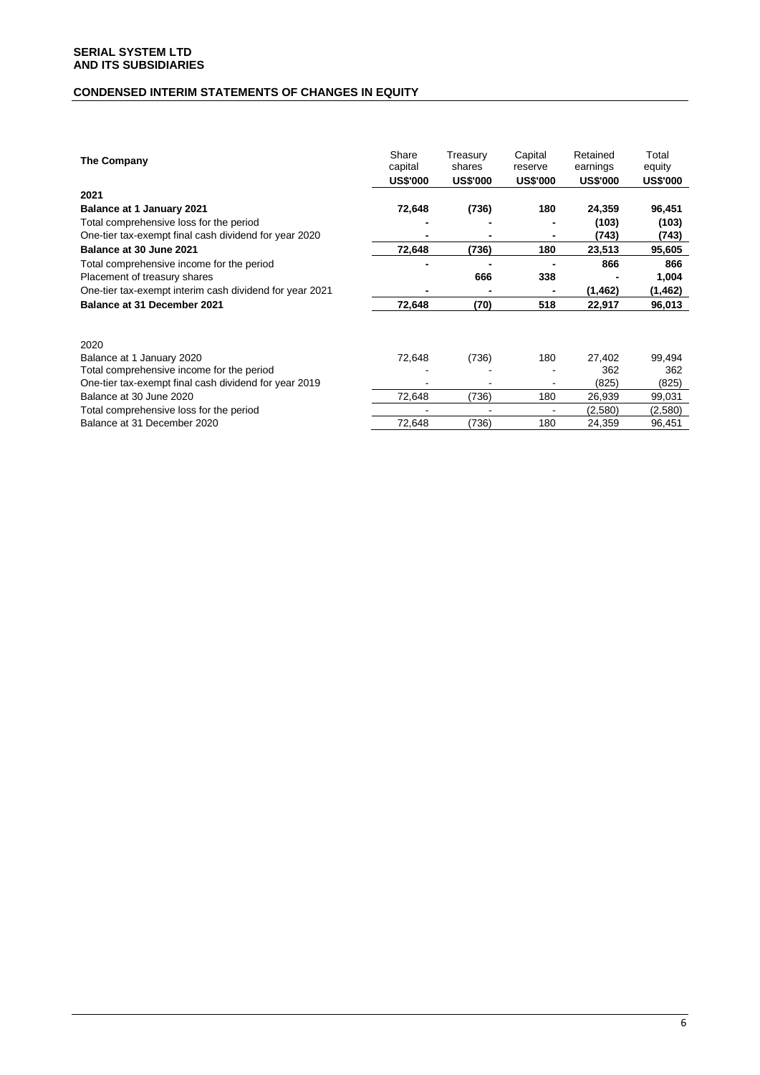# **CONDENSED INTERIM STATEMENTS OF CHANGES IN EQUITY**

| The Company                                             | Share<br>capital<br><b>US\$'000</b> | Treasury<br>shares<br><b>US\$'000</b> | Capital<br>reserve<br><b>US\$'000</b> | Retained<br>earnings<br><b>US\$'000</b> | Total<br>equity<br><b>US\$'000</b> |
|---------------------------------------------------------|-------------------------------------|---------------------------------------|---------------------------------------|-----------------------------------------|------------------------------------|
| 2021                                                    |                                     |                                       |                                       |                                         |                                    |
| <b>Balance at 1 January 2021</b>                        | 72,648                              | (736)                                 | 180                                   | 24,359                                  | 96,451                             |
| Total comprehensive loss for the period                 |                                     |                                       |                                       | (103)                                   | (103)                              |
| One-tier tax-exempt final cash dividend for year 2020   |                                     |                                       |                                       | (743)                                   | (743)                              |
| Balance at 30 June 2021                                 | 72,648                              | (736)                                 | 180                                   | 23,513                                  | 95,605                             |
| Total comprehensive income for the period               |                                     |                                       |                                       | 866                                     | 866                                |
| Placement of treasury shares                            |                                     | 666                                   | 338                                   |                                         | 1,004                              |
| One-tier tax-exempt interim cash dividend for year 2021 |                                     |                                       |                                       | (1,462)                                 | (1,462)                            |
| Balance at 31 December 2021                             | 72,648                              | (70)                                  | 518                                   | 22,917                                  | 96,013                             |
|                                                         |                                     |                                       |                                       |                                         |                                    |
| 2020                                                    |                                     |                                       |                                       |                                         |                                    |
| Balance at 1 January 2020                               | 72,648                              | (736)                                 | 180                                   | 27,402                                  | 99,494                             |
| Total comprehensive income for the period               |                                     |                                       |                                       | 362                                     | 362                                |
| One-tier tax-exempt final cash dividend for year 2019   |                                     |                                       |                                       | (825)                                   | (825)                              |
| Balance at 30 June 2020                                 | 72,648                              | (736)                                 | 180                                   | 26,939                                  | 99,031                             |
| Total comprehensive loss for the period                 |                                     |                                       |                                       | (2,580)                                 | (2,580)                            |
| Balance at 31 December 2020                             | 72,648                              | (736)                                 | 180                                   | 24,359                                  | 96,451                             |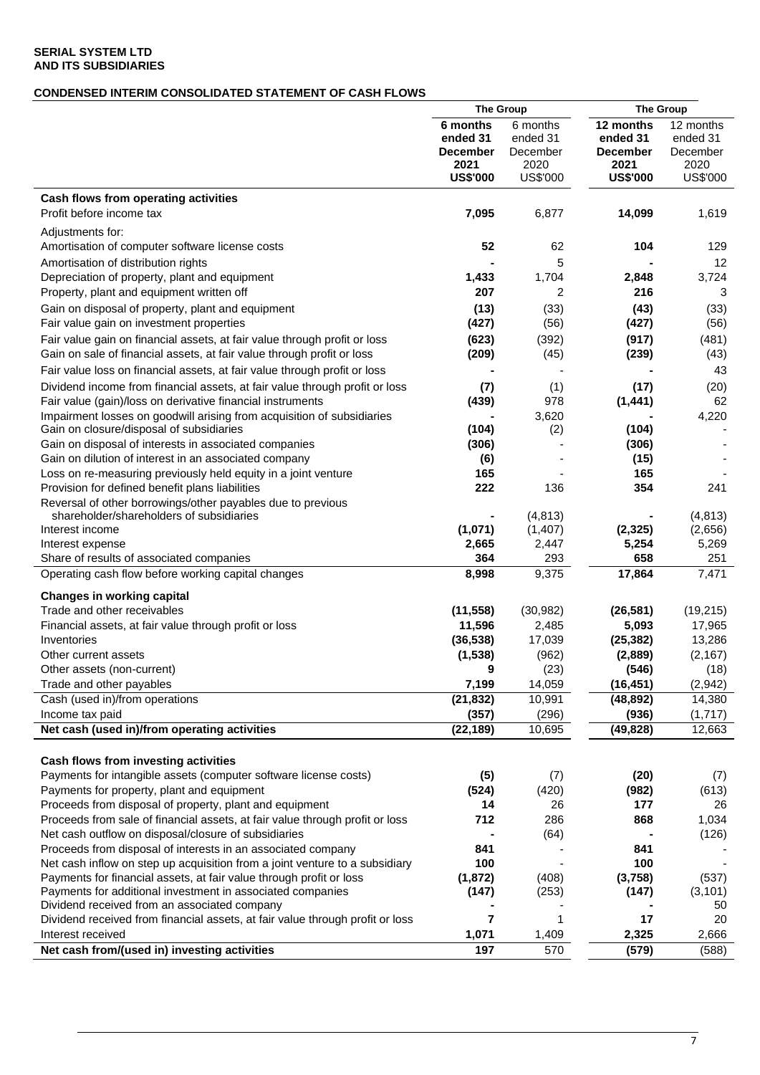# **CONDENSED INTERIM CONSOLIDATED STATEMENT OF CASH FLOWS**

|                                                                                                                                                     | <b>The Group</b>                                                   |                                                      | <b>The Group</b>                                                    |                                                       |
|-----------------------------------------------------------------------------------------------------------------------------------------------------|--------------------------------------------------------------------|------------------------------------------------------|---------------------------------------------------------------------|-------------------------------------------------------|
|                                                                                                                                                     | 6 months<br>ended 31<br><b>December</b><br>2021<br><b>US\$'000</b> | 6 months<br>ended 31<br>December<br>2020<br>US\$'000 | 12 months<br>ended 31<br><b>December</b><br>2021<br><b>US\$'000</b> | 12 months<br>ended 31<br>December<br>2020<br>US\$'000 |
| Cash flows from operating activities                                                                                                                |                                                                    |                                                      |                                                                     |                                                       |
| Profit before income tax                                                                                                                            | 7,095                                                              | 6,877                                                | 14,099                                                              | 1,619                                                 |
|                                                                                                                                                     |                                                                    |                                                      |                                                                     |                                                       |
| Adjustments for:                                                                                                                                    |                                                                    |                                                      |                                                                     |                                                       |
| Amortisation of computer software license costs                                                                                                     | 52                                                                 | 62                                                   | 104                                                                 | 129                                                   |
| Amortisation of distribution rights                                                                                                                 |                                                                    | 5                                                    |                                                                     | 12                                                    |
| Depreciation of property, plant and equipment                                                                                                       | 1,433<br>207                                                       | 1,704<br>2                                           | 2,848                                                               | 3,724                                                 |
| Property, plant and equipment written off                                                                                                           |                                                                    |                                                      | 216                                                                 | 3                                                     |
| Gain on disposal of property, plant and equipment                                                                                                   | (13)                                                               | (33)                                                 | (43)                                                                | (33)                                                  |
| Fair value gain on investment properties                                                                                                            | (427)                                                              | (56)                                                 | (427)                                                               | (56)                                                  |
| Fair value gain on financial assets, at fair value through profit or loss<br>Gain on sale of financial assets, at fair value through profit or loss | (623)<br>(209)                                                     | (392)<br>(45)                                        | (917)<br>(239)                                                      | (481)<br>(43)                                         |
| Fair value loss on financial assets, at fair value through profit or loss                                                                           |                                                                    |                                                      |                                                                     | 43                                                    |
| Dividend income from financial assets, at fair value through profit or loss                                                                         | (7)                                                                | (1)                                                  | (17)                                                                | (20)                                                  |
| Fair value (gain)/loss on derivative financial instruments                                                                                          | (439)                                                              | 978                                                  | (1, 441)                                                            | 62                                                    |
| Impairment losses on goodwill arising from acquisition of subsidiaries                                                                              |                                                                    | 3,620                                                |                                                                     | 4,220                                                 |
| Gain on closure/disposal of subsidiaries                                                                                                            | (104)                                                              | (2)                                                  | (104)                                                               |                                                       |
| Gain on disposal of interests in associated companies                                                                                               | (306)                                                              |                                                      | (306)                                                               |                                                       |
| Gain on dilution of interest in an associated company                                                                                               | (6)                                                                |                                                      | (15)                                                                |                                                       |
| Loss on re-measuring previously held equity in a joint venture                                                                                      | 165                                                                |                                                      | 165                                                                 |                                                       |
| Provision for defined benefit plans liabilities                                                                                                     | 222                                                                | 136                                                  | 354                                                                 | 241                                                   |
| Reversal of other borrowings/other payables due to previous                                                                                         |                                                                    |                                                      |                                                                     |                                                       |
| shareholder/shareholders of subsidiaries<br>Interest income                                                                                         | (1,071)                                                            | (4, 813)<br>(1,407)                                  | (2, 325)                                                            | (4, 813)<br>(2,656)                                   |
| Interest expense                                                                                                                                    | 2,665                                                              | 2,447                                                | 5,254                                                               | 5,269                                                 |
| Share of results of associated companies                                                                                                            | 364                                                                | 293                                                  | 658                                                                 | 251                                                   |
| Operating cash flow before working capital changes                                                                                                  | 8,998                                                              | 9,375                                                | 17,864                                                              | 7,471                                                 |
|                                                                                                                                                     |                                                                    |                                                      |                                                                     |                                                       |
| <b>Changes in working capital</b><br>Trade and other receivables                                                                                    |                                                                    |                                                      |                                                                     |                                                       |
|                                                                                                                                                     | (11, 558)                                                          | (30, 982)<br>2,485                                   | (26, 581)                                                           | (19, 215)                                             |
| Financial assets, at fair value through profit or loss<br>Inventories                                                                               | 11,596<br>(36, 538)                                                | 17,039                                               | 5,093<br>(25, 382)                                                  | 17,965<br>13,286                                      |
| Other current assets                                                                                                                                | (1,538)                                                            | (962)                                                | (2,889)                                                             | (2, 167)                                              |
| Other assets (non-current)                                                                                                                          | 9                                                                  | (23)                                                 | (546)                                                               | (18)                                                  |
| Trade and other payables                                                                                                                            | 7,199                                                              | 14,059                                               | (16, 451)                                                           | (2,942)                                               |
| Cash (used in)/from operations                                                                                                                      | (21, 832)                                                          | 10,991                                               | (48, 892)                                                           | 14,380                                                |
| Income tax paid                                                                                                                                     | (357)                                                              | (296)                                                | (936)                                                               | (1,717)                                               |
| Net cash (used in)/from operating activities                                                                                                        | (22, 189)                                                          | 10,695                                               | (49, 828)                                                           | 12,663                                                |
|                                                                                                                                                     |                                                                    |                                                      |                                                                     |                                                       |
| Cash flows from investing activities                                                                                                                |                                                                    |                                                      |                                                                     |                                                       |
| Payments for intangible assets (computer software license costs)                                                                                    | (5)                                                                | (7)                                                  | (20)                                                                | (7)                                                   |
| Payments for property, plant and equipment                                                                                                          | (524)                                                              | (420)                                                | (982)                                                               | (613)                                                 |
| Proceeds from disposal of property, plant and equipment                                                                                             | 14                                                                 | 26                                                   | 177                                                                 | 26                                                    |
| Proceeds from sale of financial assets, at fair value through profit or loss                                                                        | 712                                                                | 286                                                  | 868                                                                 | 1,034                                                 |
| Net cash outflow on disposal/closure of subsidiaries                                                                                                |                                                                    | (64)                                                 |                                                                     | (126)                                                 |
| Proceeds from disposal of interests in an associated company                                                                                        | 841                                                                |                                                      | 841                                                                 |                                                       |
| Net cash inflow on step up acquisition from a joint venture to a subsidiary                                                                         | 100                                                                |                                                      | 100                                                                 |                                                       |
| Payments for financial assets, at fair value through profit or loss                                                                                 | (1, 872)                                                           | (408)                                                | (3,758)                                                             | (537)                                                 |
| Payments for additional investment in associated companies<br>Dividend received from an associated company                                          | (147)                                                              | (253)                                                | (147)                                                               | (3, 101)<br>50                                        |
| Dividend received from financial assets, at fair value through profit or loss                                                                       | 7                                                                  | 1                                                    | 17                                                                  | 20                                                    |
| Interest received                                                                                                                                   | 1,071                                                              | 1,409                                                | 2,325                                                               | 2,666                                                 |
| Net cash from/(used in) investing activities                                                                                                        | 197                                                                | 570                                                  | (579)                                                               | (588)                                                 |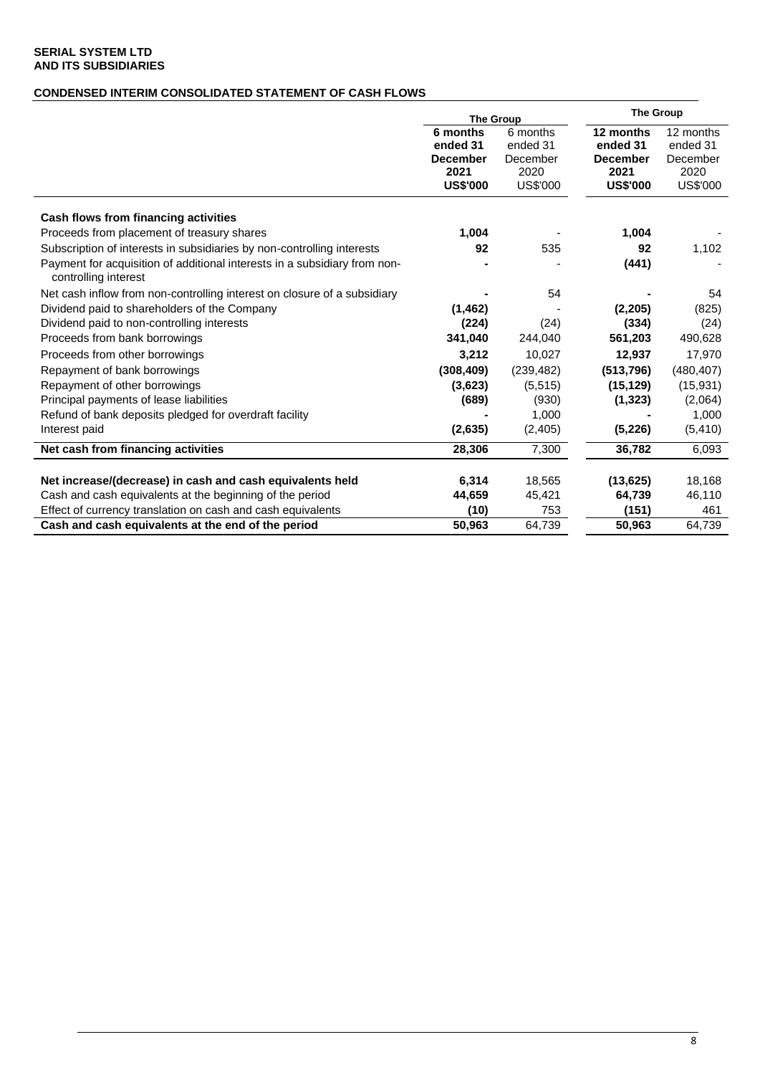# **CONDENSED INTERIM CONSOLIDATED STATEMENT OF CASH FLOWS**

|                                                                                                   | <b>The Group</b>                                                   |                                                      | <b>The Group</b>                                                    |                                                       |  |
|---------------------------------------------------------------------------------------------------|--------------------------------------------------------------------|------------------------------------------------------|---------------------------------------------------------------------|-------------------------------------------------------|--|
|                                                                                                   | 6 months<br>ended 31<br><b>December</b><br>2021<br><b>US\$'000</b> | 6 months<br>ended 31<br>December<br>2020<br>US\$'000 | 12 months<br>ended 31<br><b>December</b><br>2021<br><b>US\$'000</b> | 12 months<br>ended 31<br>December<br>2020<br>US\$'000 |  |
| Cash flows from financing activities                                                              |                                                                    |                                                      |                                                                     |                                                       |  |
| Proceeds from placement of treasury shares                                                        | 1,004                                                              |                                                      | 1,004                                                               |                                                       |  |
| Subscription of interests in subsidiaries by non-controlling interests                            | 92                                                                 | 535                                                  | 92                                                                  | 1,102                                                 |  |
| Payment for acquisition of additional interests in a subsidiary from non-<br>controlling interest |                                                                    |                                                      | (441)                                                               |                                                       |  |
| Net cash inflow from non-controlling interest on closure of a subsidiary                          |                                                                    | 54                                                   |                                                                     | 54                                                    |  |
| Dividend paid to shareholders of the Company                                                      | (1, 462)                                                           |                                                      | (2, 205)                                                            | (825)                                                 |  |
| Dividend paid to non-controlling interests                                                        | (224)                                                              | (24)                                                 | (334)                                                               | (24)                                                  |  |
| Proceeds from bank borrowings                                                                     | 341,040                                                            | 244,040                                              | 561,203                                                             | 490,628                                               |  |
| Proceeds from other borrowings                                                                    | 3,212                                                              | 10,027                                               | 12,937                                                              | 17,970                                                |  |
| Repayment of bank borrowings                                                                      | (308, 409)                                                         | (239, 482)                                           | (513, 796)                                                          | (480, 407)                                            |  |
| Repayment of other borrowings                                                                     | (3,623)                                                            | (5, 515)                                             | (15, 129)                                                           | (15,931)                                              |  |
| Principal payments of lease liabilities                                                           | (689)                                                              | (930)                                                | (1, 323)                                                            | (2,064)                                               |  |
| Refund of bank deposits pledged for overdraft facility                                            |                                                                    | 1,000                                                |                                                                     | 1,000                                                 |  |
| Interest paid                                                                                     | (2,635)                                                            | (2,405)                                              | (5,226)                                                             | (5, 410)                                              |  |
| Net cash from financing activities                                                                | 28,306                                                             | 7,300                                                | 36.782                                                              | 6,093                                                 |  |
| Net increase/(decrease) in cash and cash equivalents held                                         | 6,314                                                              | 18,565                                               | (13, 625)                                                           | 18,168                                                |  |
| Cash and cash equivalents at the beginning of the period                                          | 44,659                                                             | 45,421                                               | 64,739                                                              | 46,110                                                |  |
| Effect of currency translation on cash and cash equivalents                                       | (10)                                                               | 753                                                  | (151)                                                               | 461                                                   |  |
| Cash and cash equivalents at the end of the period                                                | 50.963                                                             | 64,739                                               | 50,963                                                              | 64,739                                                |  |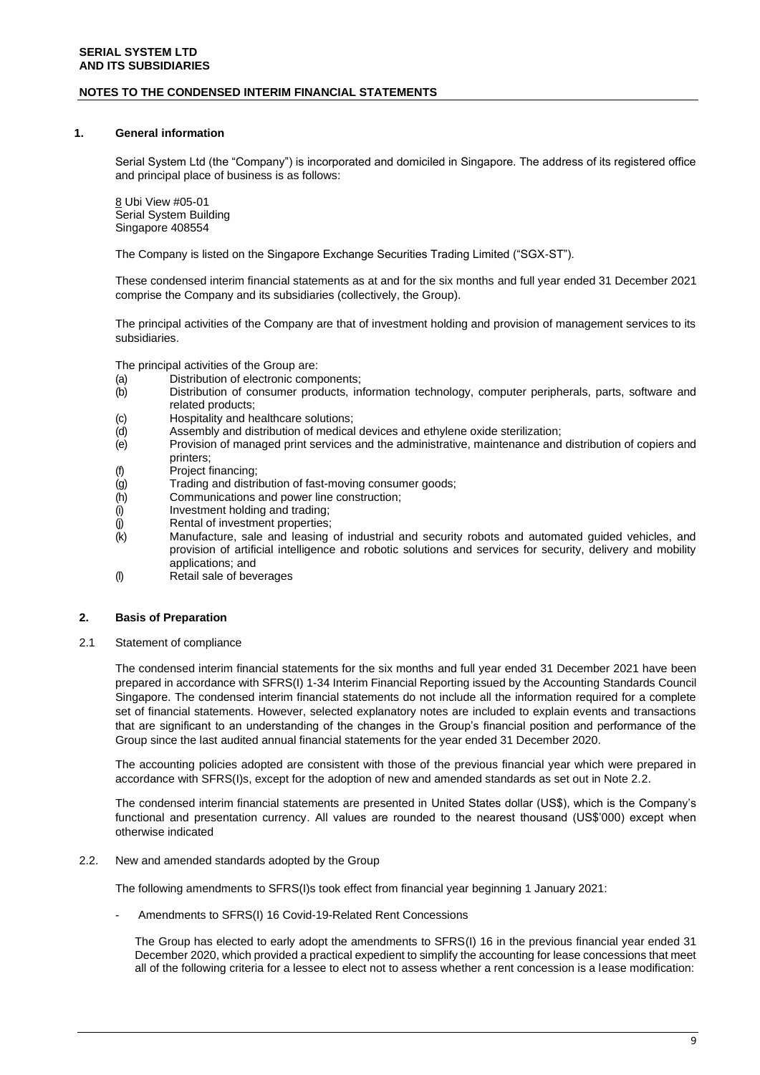### **NOTES TO THE CONDENSED INTERIM FINANCIAL STATEMENTS**

### **1. General information**

Serial System Ltd (the "Company") is incorporated and domiciled in Singapore. The address of its registered office and principal place of business is as follows:

8 Ubi View #05-01 Serial System Building Singapore 408554

The Company is listed on the Singapore Exchange Securities Trading Limited ("SGX-ST").

These condensed interim financial statements as at and for the six months and full year ended 31 December 2021 comprise the Company and its subsidiaries (collectively, the Group).

The principal activities of the Company are that of investment holding and provision of management services to its subsidiaries.

The principal activities of the Group are:

- (a) Distribution of electronic components;
- (b) Distribution of consumer products, information technology, computer peripherals, parts, software and related products;
- (c) Hospitality and healthcare solutions;
- (d) Assembly and distribution of medical devices and ethylene oxide sterilization;
- (e) Provision of managed print services and the administrative, maintenance and distribution of copiers and printers;
- (f) Project financing;<br>(g) Trading and distri
- Trading and distribution of fast-moving consumer goods;
- (h) Communications and power line construction;<br>(i) Investment holding and trading;
- (i) Investment holding and trading;<br>(j) Rental of investment properties;
- Rental of investment properties;
- (k) Manufacture, sale and leasing of industrial and security robots and automated guided vehicles, and provision of artificial intelligence and robotic solutions and services for security, delivery and mobility applications; and
- (l) Retail sale of beverages

#### **2. Basis of Preparation**

2.1 Statement of compliance

The condensed interim financial statements for the six months and full year ended 31 December 2021 have been prepared in accordance with SFRS(I) 1-34 Interim Financial Reporting issued by the Accounting Standards Council Singapore. The condensed interim financial statements do not include all the information required for a complete set of financial statements. However, selected explanatory notes are included to explain events and transactions that are significant to an understanding of the changes in the Group's financial position and performance of the Group since the last audited annual financial statements for the year ended 31 December 2020.

The accounting policies adopted are consistent with those of the previous financial year which were prepared in accordance with SFRS(I)s, except for the adoption of new and amended standards as set out in Note 2.2.

The condensed interim financial statements are presented in United States dollar (US\$), which is the Company's functional and presentation currency. All values are rounded to the nearest thousand (US\$'000) except when otherwise indicated

2.2. New and amended standards adopted by the Group

The following amendments to SFRS(I)s took effect from financial year beginning 1 January 2021:

Amendments to SFRS(I) 16 Covid-19-Related Rent Concessions

The Group has elected to early adopt the amendments to SFRS(I) 16 in the previous financial year ended 31 December 2020, which provided a practical expedient to simplify the accounting for lease concessions that meet all of the following criteria for a lessee to elect not to assess whether a rent concession is a lease modification: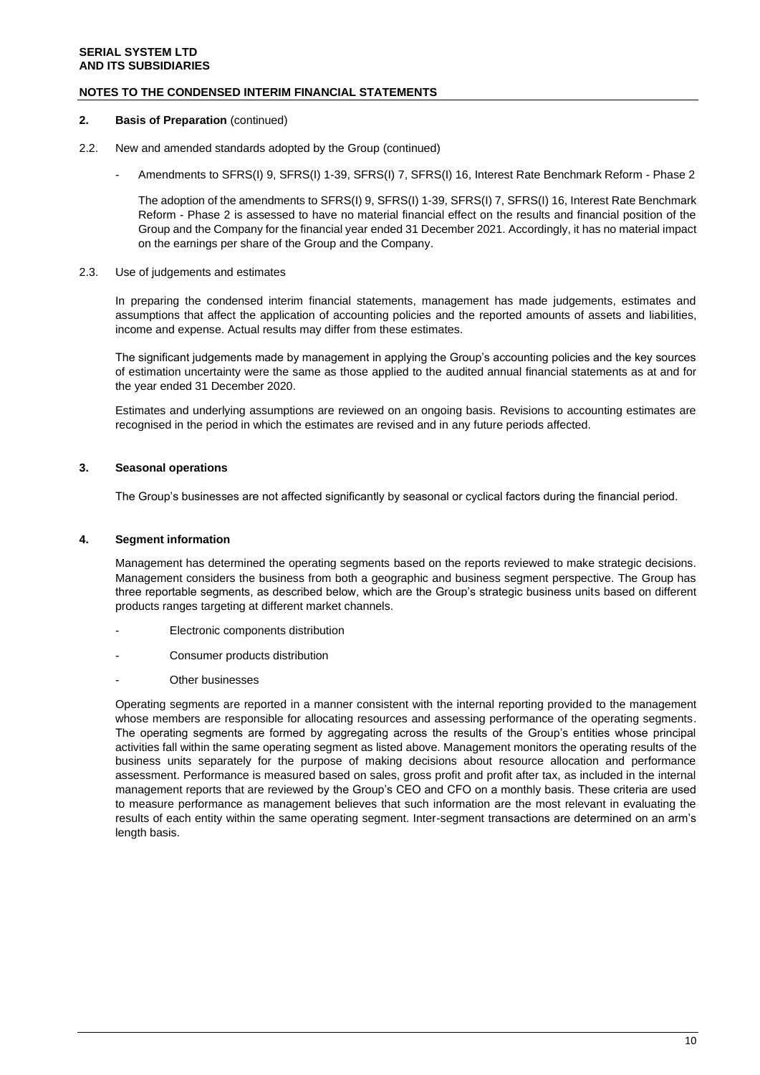### **NOTES TO THE CONDENSED INTERIM FINANCIAL STATEMENTS**

### **2.** Basis of Preparation (continued)

- 2.2. New and amended standards adopted by the Group (continued)
	- Amendments to SFRS(I) 9, SFRS(I) 1-39, SFRS(I) 7, SFRS(I) 16, Interest Rate Benchmark Reform Phase 2

The adoption of the amendments to SFRS(I) 9, SFRS(I) 1-39, SFRS(I) 7, SFRS(I) 16, Interest Rate Benchmark Reform - Phase 2 is assessed to have no material financial effect on the results and financial position of the Group and the Company for the financial year ended 31 December 2021. Accordingly, it has no material impact on the earnings per share of the Group and the Company.

### 2.3. Use of judgements and estimates

In preparing the condensed interim financial statements, management has made judgements, estimates and assumptions that affect the application of accounting policies and the reported amounts of assets and liabilities, income and expense. Actual results may differ from these estimates.

The significant judgements made by management in applying the Group's accounting policies and the key sources of estimation uncertainty were the same as those applied to the audited annual financial statements as at and for the year ended 31 December 2020.

Estimates and underlying assumptions are reviewed on an ongoing basis. Revisions to accounting estimates are recognised in the period in which the estimates are revised and in any future periods affected.

### **3. Seasonal operations**

The Group's businesses are not affected significantly by seasonal or cyclical factors during the financial period.

### **4. Segment information**

Management has determined the operating segments based on the reports reviewed to make strategic decisions. Management considers the business from both a geographic and business segment perspective. The Group has three reportable segments, as described below, which are the Group's strategic business units based on different products ranges targeting at different market channels.

- Electronic components distribution
- Consumer products distribution
- Other businesses

Operating segments are reported in a manner consistent with the internal reporting provided to the management whose members are responsible for allocating resources and assessing performance of the operating segments. The operating segments are formed by aggregating across the results of the Group's entities whose principal activities fall within the same operating segment as listed above. Management monitors the operating results of the business units separately for the purpose of making decisions about resource allocation and performance assessment. Performance is measured based on sales, gross profit and profit after tax, as included in the internal management reports that are reviewed by the Group's CEO and CFO on a monthly basis. These criteria are used to measure performance as management believes that such information are the most relevant in evaluating the results of each entity within the same operating segment. Inter-segment transactions are determined on an arm's length basis.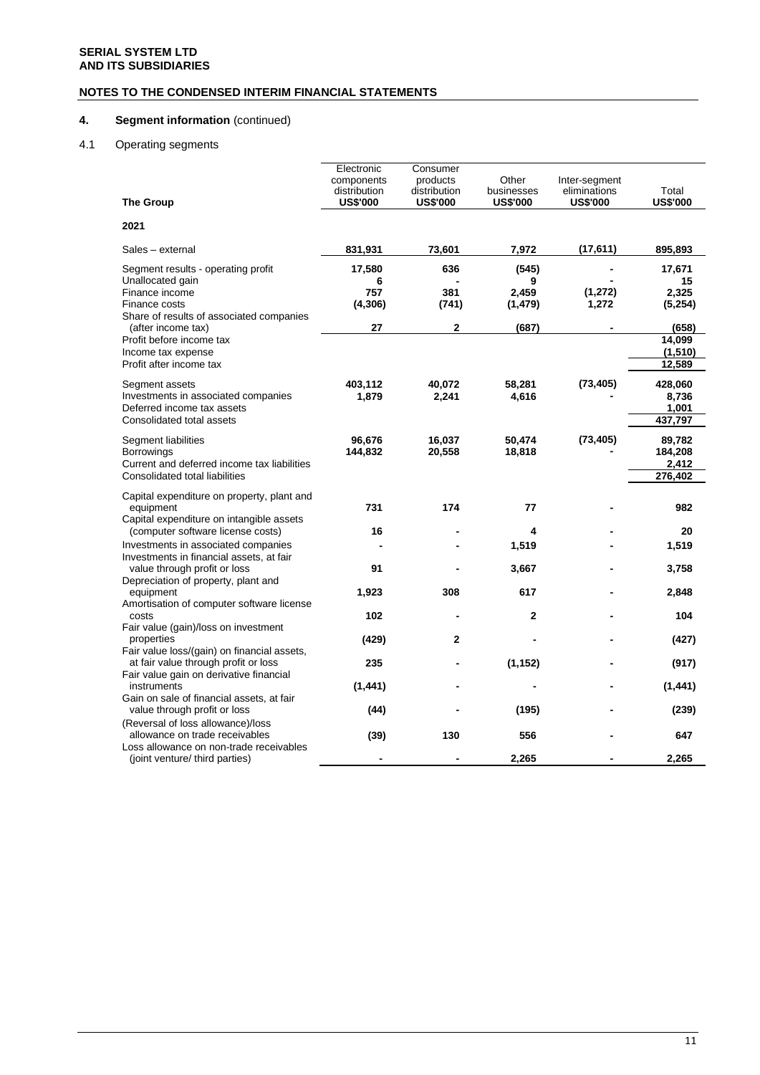# **NOTES TO THE CONDENSED INTERIM FINANCIAL STATEMENTS**

# **4. Segment information** (continued)

# 4.1 Operating segments

|                                                                                                                                                                                         | Electronic<br>components<br>distribution | Consumer<br>products<br>distribution | Other<br>businesses                      | Inter-segment<br>eliminations | Total                                               |
|-----------------------------------------------------------------------------------------------------------------------------------------------------------------------------------------|------------------------------------------|--------------------------------------|------------------------------------------|-------------------------------|-----------------------------------------------------|
| <b>The Group</b>                                                                                                                                                                        | <b>US\$'000</b>                          | <b>US\$'000</b>                      | <b>US\$'000</b>                          | <b>US\$'000</b>               | <b>US\$'000</b>                                     |
| 2021                                                                                                                                                                                    |                                          |                                      |                                          |                               |                                                     |
| Sales - external                                                                                                                                                                        | 831,931                                  | 73,601                               | 7,972                                    | (17, 611)                     | 895,893                                             |
| Segment results - operating profit<br>Unallocated gain<br>Finance income<br>Finance costs<br>Share of results of associated companies<br>(after income tax)<br>Profit before income tax | 17,580<br>6<br>757<br>(4, 306)<br>27     | 636<br>381<br>(741)<br>$\mathbf{2}$  | (545)<br>9<br>2,459<br>(1, 479)<br>(687) | (1, 272)<br>1,272             | 17,671<br>15<br>2,325<br>(5,254)<br>(658)<br>14,099 |
| Income tax expense<br>Profit after income tax                                                                                                                                           |                                          |                                      |                                          |                               | (1, 510)<br>12,589                                  |
| Segment assets<br>Investments in associated companies<br>Deferred income tax assets<br>Consolidated total assets                                                                        | 403,112<br>1,879                         | 40,072<br>2,241                      | 58,281<br>4,616                          | (73, 405)                     | 428,060<br>8,736<br>1,001<br>437,797                |
| Segment liabilities<br><b>Borrowings</b><br>Current and deferred income tax liabilities<br>Consolidated total liabilities                                                               | 96,676<br>144,832                        | 16,037<br>20,558                     | 50,474<br>18,818                         | (73, 405)                     | 89,782<br>184,208<br>2,412<br>276,402               |
| Capital expenditure on property, plant and<br>equipment<br>Capital expenditure on intangible assets                                                                                     | 731                                      | 174                                  | 77                                       |                               | 982                                                 |
| (computer software license costs)                                                                                                                                                       | 16                                       |                                      | 4                                        |                               | 20                                                  |
| Investments in associated companies<br>Investments in financial assets, at fair                                                                                                         |                                          |                                      | 1,519                                    |                               | 1,519                                               |
| value through profit or loss<br>Depreciation of property, plant and                                                                                                                     | 91                                       |                                      | 3,667                                    |                               | 3,758                                               |
| equipment<br>Amortisation of computer software license                                                                                                                                  | 1,923                                    | 308                                  | 617                                      |                               | 2,848                                               |
| costs<br>Fair value (gain)/loss on investment<br>properties                                                                                                                             | 102<br>(429)                             | $\mathbf{2}$                         | $\mathbf{2}$                             |                               | 104<br>(427)                                        |
| Fair value loss/(gain) on financial assets,<br>at fair value through profit or loss                                                                                                     | 235                                      |                                      | (1, 152)                                 |                               | (917)                                               |
| Fair value gain on derivative financial<br>instruments                                                                                                                                  | (1, 441)                                 |                                      |                                          |                               | (1, 441)                                            |
| Gain on sale of financial assets, at fair<br>value through profit or loss                                                                                                               | (44)                                     |                                      | (195)                                    |                               | (239)                                               |
| (Reversal of loss allowance)/loss<br>allowance on trade receivables<br>Loss allowance on non-trade receivables                                                                          | (39)                                     | 130                                  | 556                                      |                               | 647                                                 |
| (joint venture/ third parties)                                                                                                                                                          |                                          |                                      | 2,265                                    |                               | 2,265                                               |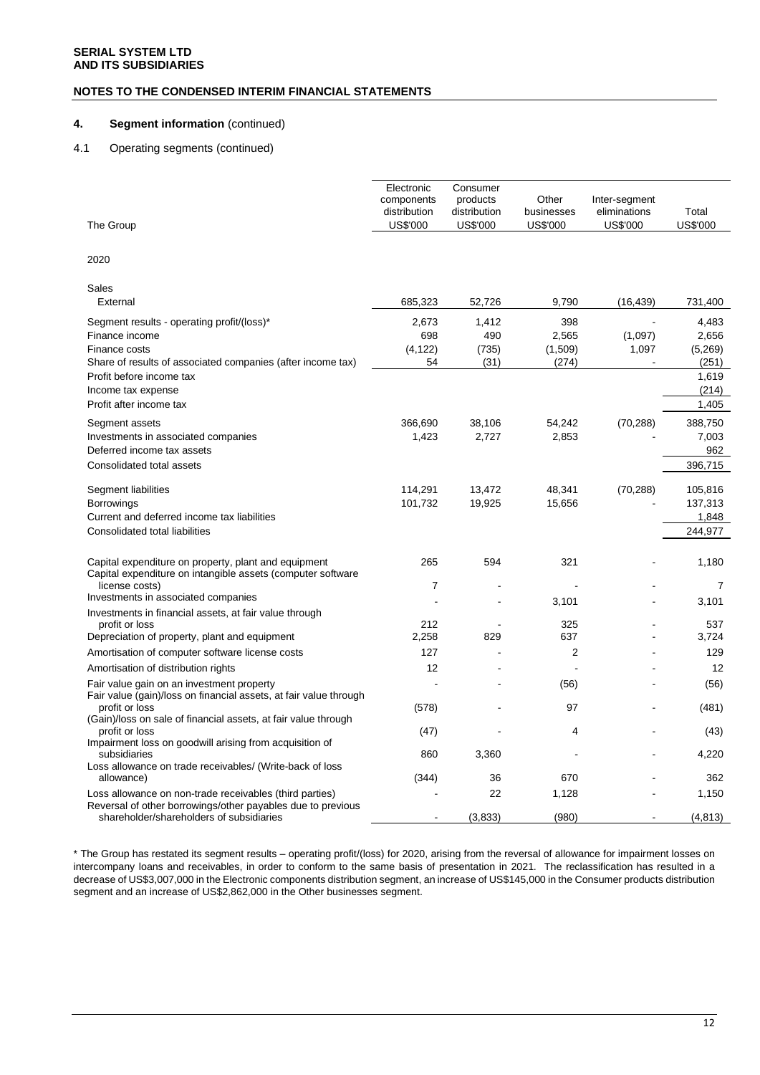### **NOTES TO THE CONDENSED INTERIM FINANCIAL STATEMENTS**

### **4. Segment information** (continued)

### 4.1 Operating segments (continued)

| The Group                                                                                                                                    | Electronic<br>components<br>distribution<br>US\$'000 | Consumer<br>products<br>distribution<br>US\$'000 | Other<br>businesses<br>US\$'000  | Inter-segment<br>eliminations<br>US\$'000 | Total<br>US\$'000                      |
|----------------------------------------------------------------------------------------------------------------------------------------------|------------------------------------------------------|--------------------------------------------------|----------------------------------|-------------------------------------------|----------------------------------------|
| 2020                                                                                                                                         |                                                      |                                                  |                                  |                                           |                                        |
| Sales<br>External                                                                                                                            | 685,323                                              | 52,726                                           | 9,790                            | (16, 439)                                 | 731,400                                |
| Segment results - operating profit/(loss)*<br>Finance income<br>Finance costs<br>Share of results of associated companies (after income tax) | 2,673<br>698<br>(4, 122)<br>54                       | 1,412<br>490<br>(735)<br>(31)                    | 398<br>2,565<br>(1,509)<br>(274) | (1,097)<br>1,097                          | 4,483<br>2,656<br>(5,269)<br>(251)     |
| Profit before income tax<br>Income tax expense<br>Profit after income tax                                                                    |                                                      |                                                  |                                  |                                           | 1,619<br>(214)<br>1,405                |
| Segment assets<br>Investments in associated companies<br>Deferred income tax assets<br>Consolidated total assets                             | 366,690<br>1,423                                     | 38,106<br>2,727                                  | 54,242<br>2,853                  | (70, 288)                                 | 388,750<br>7,003<br>962<br>396,715     |
| Segment liabilities<br><b>Borrowings</b><br>Current and deferred income tax liabilities<br>Consolidated total liabilities                    | 114,291<br>101,732                                   | 13,472<br>19,925                                 | 48,341<br>15,656                 | (70, 288)                                 | 105,816<br>137,313<br>1,848<br>244,977 |
| Capital expenditure on property, plant and equipment<br>Capital expenditure on intangible assets (computer software                          | 265                                                  | 594                                              | 321                              |                                           | 1,180                                  |
| license costs)<br>Investments in associated companies                                                                                        | 7                                                    |                                                  | 3,101                            |                                           | 7<br>3,101                             |
| Investments in financial assets, at fair value through<br>profit or loss<br>Depreciation of property, plant and equipment                    | 212<br>2,258                                         | 829                                              | 325<br>637                       |                                           | 537<br>3,724                           |
| Amortisation of computer software license costs<br>Amortisation of distribution rights                                                       | 127<br>12                                            |                                                  | $\overline{2}$                   |                                           | 129<br>12                              |
| Fair value gain on an investment property<br>Fair value (gain)/loss on financial assets, at fair value through<br>profit or loss             | (578)                                                |                                                  | (56)<br>97                       |                                           | (56)<br>(481)                          |
| (Gain)/loss on sale of financial assets, at fair value through<br>profit or loss<br>Impairment loss on goodwill arising from acquisition of  | (47)                                                 |                                                  | 4                                |                                           | (43)                                   |
| subsidiaries<br>Loss allowance on trade receivables/ (Write-back of loss                                                                     | 860                                                  | 3,360                                            |                                  |                                           | 4,220                                  |
| allowance)<br>Loss allowance on non-trade receivables (third parties)<br>Reversal of other borrowings/other payables due to previous         | (344)                                                | 36<br>22                                         | 670<br>1,128                     |                                           | 362<br>1,150                           |
| shareholder/shareholders of subsidiaries                                                                                                     |                                                      | (3,833)                                          | (980)                            |                                           | (4, 813)                               |

\* The Group has restated its segment results – operating profit/(loss) for 2020, arising from the reversal of allowance for impairment losses on intercompany loans and receivables, in order to conform to the same basis of presentation in 2021. The reclassification has resulted in a decrease of US\$3,007,000 in the Electronic components distribution segment, an increase of US\$145,000 in the Consumer products distribution segment and an increase of US\$2,862,000 in the Other businesses segment.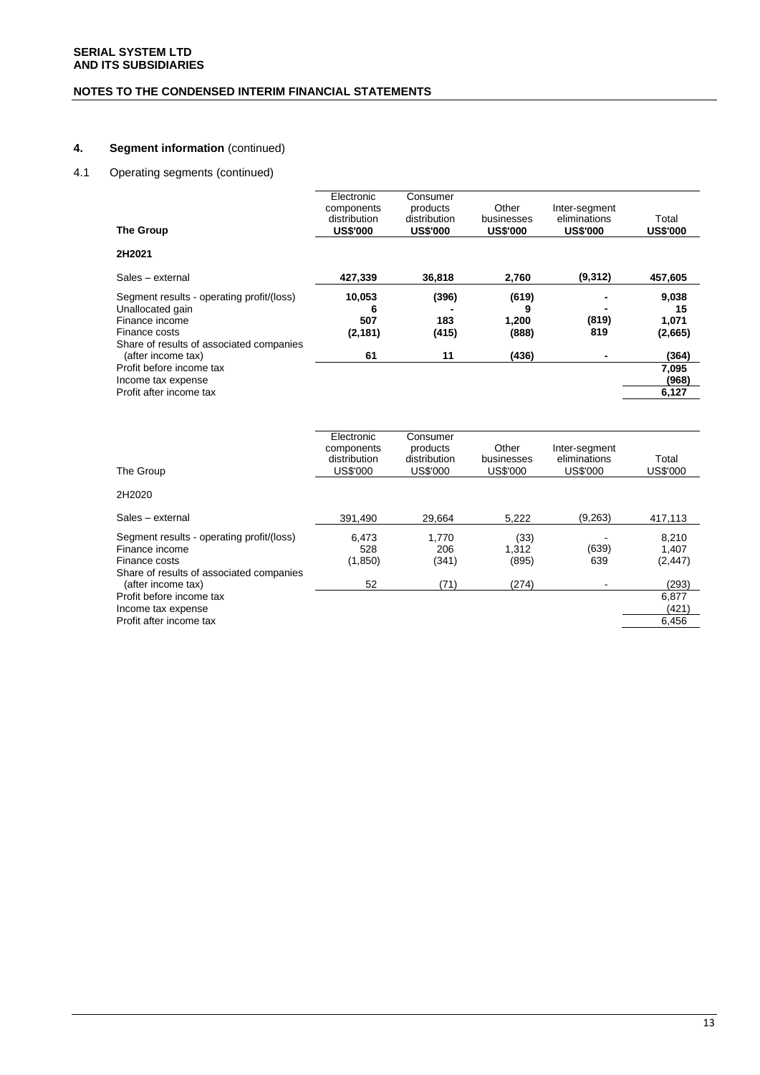# **NOTES TO THE CONDENSED INTERIM FINANCIAL STATEMENTS**

# **4. Segment information** (continued)

### 4.1 Operating segments (continued)

| <b>The Group</b>                                                                                                                             | Electronic<br>components<br>distribution<br><b>US\$'000</b> | Consumer<br>products<br>distribution<br><b>US\$'000</b> | Other<br>businesses<br><b>US\$'000</b> | Inter-segment<br>eliminations<br><b>US\$'000</b> | Total<br><b>US\$'000</b>        |
|----------------------------------------------------------------------------------------------------------------------------------------------|-------------------------------------------------------------|---------------------------------------------------------|----------------------------------------|--------------------------------------------------|---------------------------------|
| 2H2021                                                                                                                                       |                                                             |                                                         |                                        |                                                  |                                 |
| Sales - external                                                                                                                             | 427,339                                                     | 36,818                                                  | 2,760                                  | (9,312)                                          | 457,605                         |
| Segment results - operating profit/(loss)<br>Unallocated gain<br>Finance income<br>Finance costs<br>Share of results of associated companies | 10,053<br>6<br>507<br>(2, 181)                              | (396)<br>183<br>(415)                                   | (619)<br>9<br>1,200<br>(888)           | (819)<br>819                                     | 9,038<br>15<br>1,071<br>(2,665) |
| (after income tax)                                                                                                                           | 61                                                          | 11                                                      | (436)                                  |                                                  | (364)                           |
| Profit before income tax<br>Income tax expense                                                                                               |                                                             |                                                         |                                        |                                                  | 7,095<br>(968)                  |
| Profit after income tax                                                                                                                      |                                                             |                                                         |                                        |                                                  | 6,127                           |
|                                                                                                                                              | Electronic<br>components<br>distribution                    | Consumer<br>products<br>distribution                    | Other<br>businesses                    | Inter-segment<br>eliminations                    | Total                           |
| The Group                                                                                                                                    | <b>US\$'000</b>                                             | <b>US\$'000</b>                                         | <b>US\$'000</b>                        | <b>US\$'000</b>                                  | <b>US\$'000</b>                 |
| 2H2020                                                                                                                                       |                                                             |                                                         |                                        |                                                  |                                 |
| Sales - external                                                                                                                             | 391,490                                                     | 29,664                                                  | 5,222                                  | (9, 263)                                         | 417,113                         |
| Segment results - operating profit/(loss)<br>Finance income<br>Finance costs                                                                 | 6,473<br>528<br>(1, 850)                                    | 1,770<br>206<br>(341)                                   | (33)<br>1,312<br>(895)                 | (639)<br>639                                     | 8,210<br>1,407<br>(2, 447)      |
| Share of results of associated companies<br>(after income tax)                                                                               | 52                                                          | (71)                                                    | (274)                                  |                                                  | (293)                           |
| Profit before income tax<br>Income tax expense                                                                                               |                                                             |                                                         |                                        |                                                  | 6,877<br>(421)                  |

Profit after income tax 6,456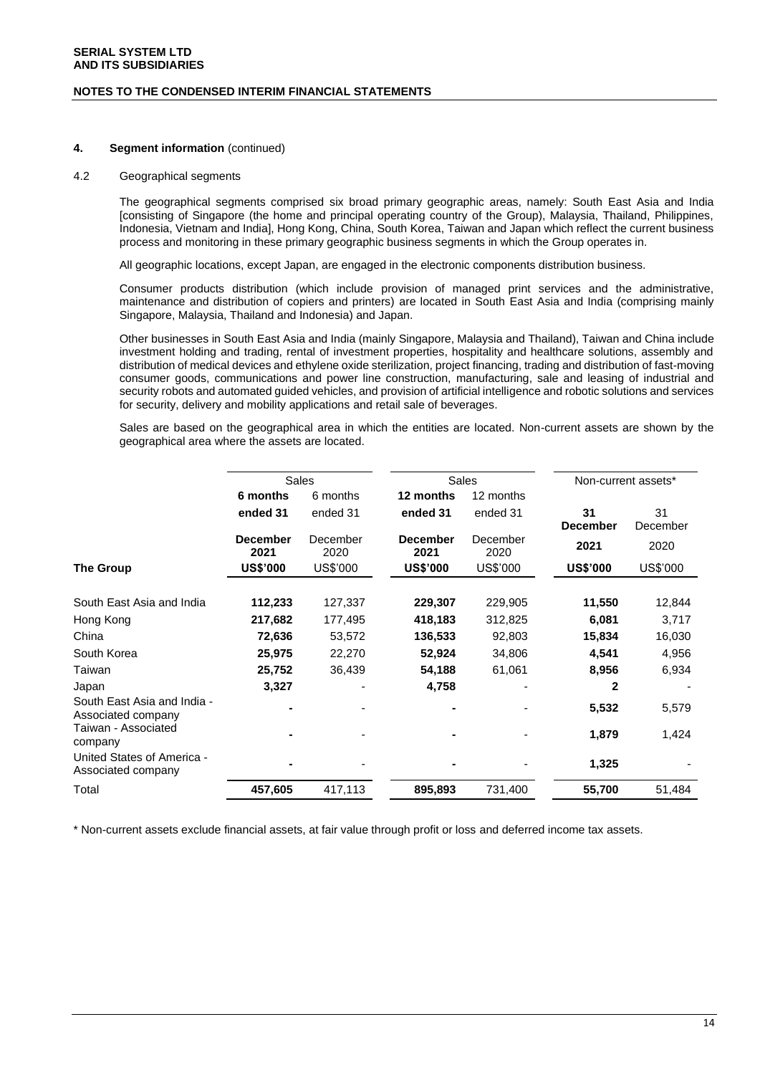#### **NOTES TO THE CONDENSED INTERIM FINANCIAL STATEMENTS**

### **4. Segment information** (continued)

### 4.2 Geographical segments

The geographical segments comprised six broad primary geographic areas, namely: South East Asia and India [consisting of Singapore (the home and principal operating country of the Group), Malaysia, Thailand, Philippines, Indonesia, Vietnam and India], Hong Kong, China, South Korea, Taiwan and Japan which reflect the current business process and monitoring in these primary geographic business segments in which the Group operates in.

All geographic locations, except Japan, are engaged in the electronic components distribution business.

Consumer products distribution (which include provision of managed print services and the administrative, maintenance and distribution of copiers and printers) are located in South East Asia and India (comprising mainly Singapore, Malaysia, Thailand and Indonesia) and Japan.

Other businesses in South East Asia and India (mainly Singapore, Malaysia and Thailand), Taiwan and China include investment holding and trading, rental of investment properties, hospitality and healthcare solutions, assembly and distribution of medical devices and ethylene oxide sterilization, project financing, trading and distribution of fast-moving consumer goods, communications and power line construction, manufacturing, sale and leasing of industrial and security robots and automated guided vehicles, and provision of artificial intelligence and robotic solutions and services for security, delivery and mobility applications and retail sale of beverages.

Sales are based on the geographical area in which the entities are located. Non-current assets are shown by the geographical area where the assets are located.

| <b>Sales</b><br>Sales<br>Non-current assets*<br>6 months<br>12 months<br>12 months<br>6 months<br>31<br>31<br>ended 31<br>ended 31<br>ended 31<br>ended 31<br><b>December</b><br><b>December</b><br>December<br>December<br><b>December</b><br>2021<br>2021<br>2020<br>2021<br>2020<br>US\$'000<br><b>US\$'000</b><br><b>US\$'000</b><br>US\$'000<br><b>US\$'000</b><br><b>The Group</b><br>South East Asia and India<br>112,233<br>127,337<br>229,307<br>229,905<br>11,550<br>217,682<br>177,495<br>418,183<br>312,825<br>6,081<br>Hong Kong<br>15,834<br>China<br>72,636<br>53,572<br>136,533<br>92,803<br>South Korea<br>25,975<br>4,541<br>22,270<br>52,924<br>34,806<br>Taiwan<br>25,752<br>54,188<br>8,956<br>36,439<br>61,061<br>3,327<br>4,758<br>$\mathbf{2}$<br>Japan<br>South East Asia and India -<br>5,532<br>Associated company<br>Taiwan - Associated<br>1,879<br>company<br>United States of America -<br>1,325<br>Associated company<br>Total<br>731,400 |         |         |         |        |          |
|---------------------------------------------------------------------------------------------------------------------------------------------------------------------------------------------------------------------------------------------------------------------------------------------------------------------------------------------------------------------------------------------------------------------------------------------------------------------------------------------------------------------------------------------------------------------------------------------------------------------------------------------------------------------------------------------------------------------------------------------------------------------------------------------------------------------------------------------------------------------------------------------------------------------------------------------------------------------------|---------|---------|---------|--------|----------|
|                                                                                                                                                                                                                                                                                                                                                                                                                                                                                                                                                                                                                                                                                                                                                                                                                                                                                                                                                                           |         |         |         |        |          |
|                                                                                                                                                                                                                                                                                                                                                                                                                                                                                                                                                                                                                                                                                                                                                                                                                                                                                                                                                                           |         |         |         |        |          |
|                                                                                                                                                                                                                                                                                                                                                                                                                                                                                                                                                                                                                                                                                                                                                                                                                                                                                                                                                                           |         |         |         |        |          |
|                                                                                                                                                                                                                                                                                                                                                                                                                                                                                                                                                                                                                                                                                                                                                                                                                                                                                                                                                                           |         |         |         |        | December |
|                                                                                                                                                                                                                                                                                                                                                                                                                                                                                                                                                                                                                                                                                                                                                                                                                                                                                                                                                                           |         |         |         |        | 2020     |
|                                                                                                                                                                                                                                                                                                                                                                                                                                                                                                                                                                                                                                                                                                                                                                                                                                                                                                                                                                           |         |         |         |        | US\$'000 |
|                                                                                                                                                                                                                                                                                                                                                                                                                                                                                                                                                                                                                                                                                                                                                                                                                                                                                                                                                                           |         |         |         |        | 12,844   |
|                                                                                                                                                                                                                                                                                                                                                                                                                                                                                                                                                                                                                                                                                                                                                                                                                                                                                                                                                                           |         |         |         |        | 3,717    |
|                                                                                                                                                                                                                                                                                                                                                                                                                                                                                                                                                                                                                                                                                                                                                                                                                                                                                                                                                                           |         |         |         |        | 16,030   |
|                                                                                                                                                                                                                                                                                                                                                                                                                                                                                                                                                                                                                                                                                                                                                                                                                                                                                                                                                                           |         |         |         |        | 4,956    |
|                                                                                                                                                                                                                                                                                                                                                                                                                                                                                                                                                                                                                                                                                                                                                                                                                                                                                                                                                                           |         |         |         |        | 6,934    |
|                                                                                                                                                                                                                                                                                                                                                                                                                                                                                                                                                                                                                                                                                                                                                                                                                                                                                                                                                                           |         |         |         |        |          |
|                                                                                                                                                                                                                                                                                                                                                                                                                                                                                                                                                                                                                                                                                                                                                                                                                                                                                                                                                                           |         |         |         |        | 5,579    |
|                                                                                                                                                                                                                                                                                                                                                                                                                                                                                                                                                                                                                                                                                                                                                                                                                                                                                                                                                                           |         |         |         |        | 1,424    |
|                                                                                                                                                                                                                                                                                                                                                                                                                                                                                                                                                                                                                                                                                                                                                                                                                                                                                                                                                                           |         |         |         |        |          |
|                                                                                                                                                                                                                                                                                                                                                                                                                                                                                                                                                                                                                                                                                                                                                                                                                                                                                                                                                                           | 457,605 | 417,113 | 895,893 | 55,700 | 51,484   |

\* Non-current assets exclude financial assets, at fair value through profit or loss and deferred income tax assets.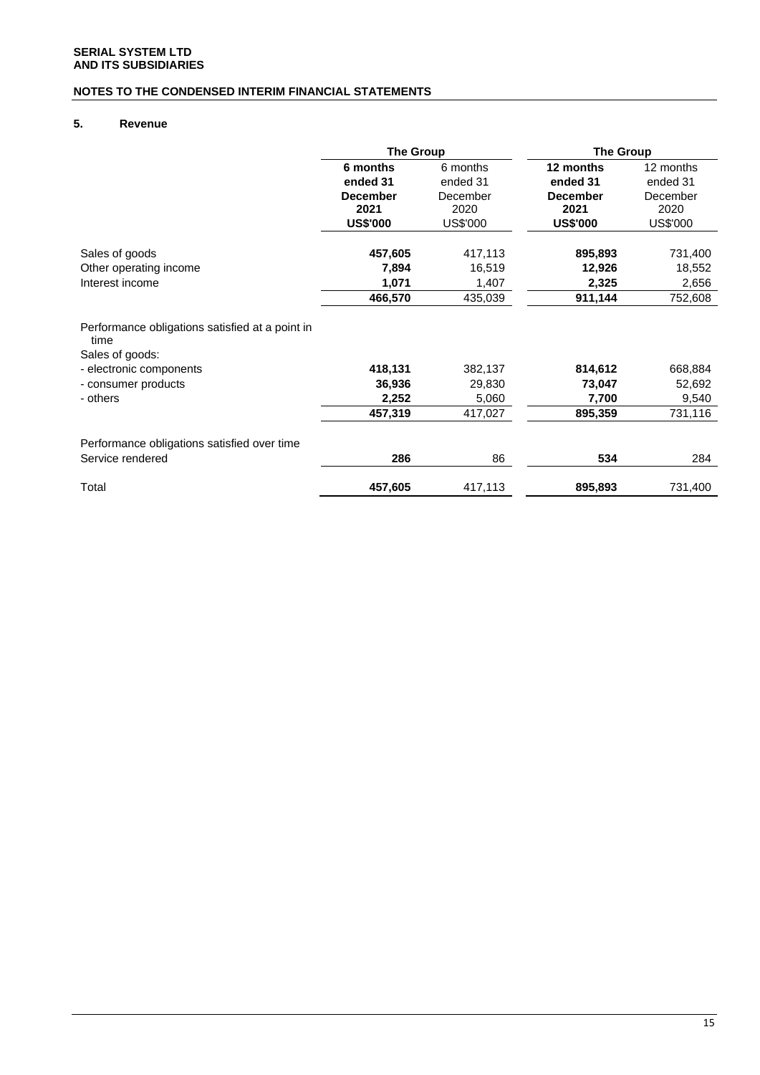# **NOTES TO THE CONDENSED INTERIM FINANCIAL STATEMENTS**

# **5. Revenue**

|                                                                            | <b>The Group</b> |          | <b>The Group</b> |           |
|----------------------------------------------------------------------------|------------------|----------|------------------|-----------|
|                                                                            | 6 months         | 6 months | 12 months        | 12 months |
|                                                                            | ended 31         | ended 31 | ended 31         | ended 31  |
|                                                                            | <b>December</b>  | December | <b>December</b>  | December  |
|                                                                            | 2021             | 2020     | 2021             | 2020      |
|                                                                            | <b>US\$'000</b>  | US\$'000 | <b>US\$'000</b>  | US\$'000  |
| Sales of goods                                                             | 457,605          | 417,113  | 895,893          | 731,400   |
| Other operating income                                                     | 7,894            | 16,519   | 12,926           | 18,552    |
| Interest income                                                            | 1,071            | 1,407    | 2,325            | 2,656     |
|                                                                            | 466,570          | 435,039  | 911,144          | 752,608   |
| Performance obligations satisfied at a point in<br>time<br>Sales of goods: |                  |          |                  |           |
| - electronic components                                                    | 418,131          | 382,137  | 814,612          | 668,884   |
| - consumer products                                                        | 36,936           | 29,830   | 73,047           | 52,692    |
| - others                                                                   | 2,252            | 5,060    | 7,700            | 9,540     |
|                                                                            | 457,319          | 417,027  | 895,359          | 731,116   |
| Performance obligations satisfied over time                                |                  |          |                  |           |
| Service rendered                                                           | 286              | 86       | 534              | 284       |
| Total                                                                      | 457,605          | 417,113  | 895,893          | 731,400   |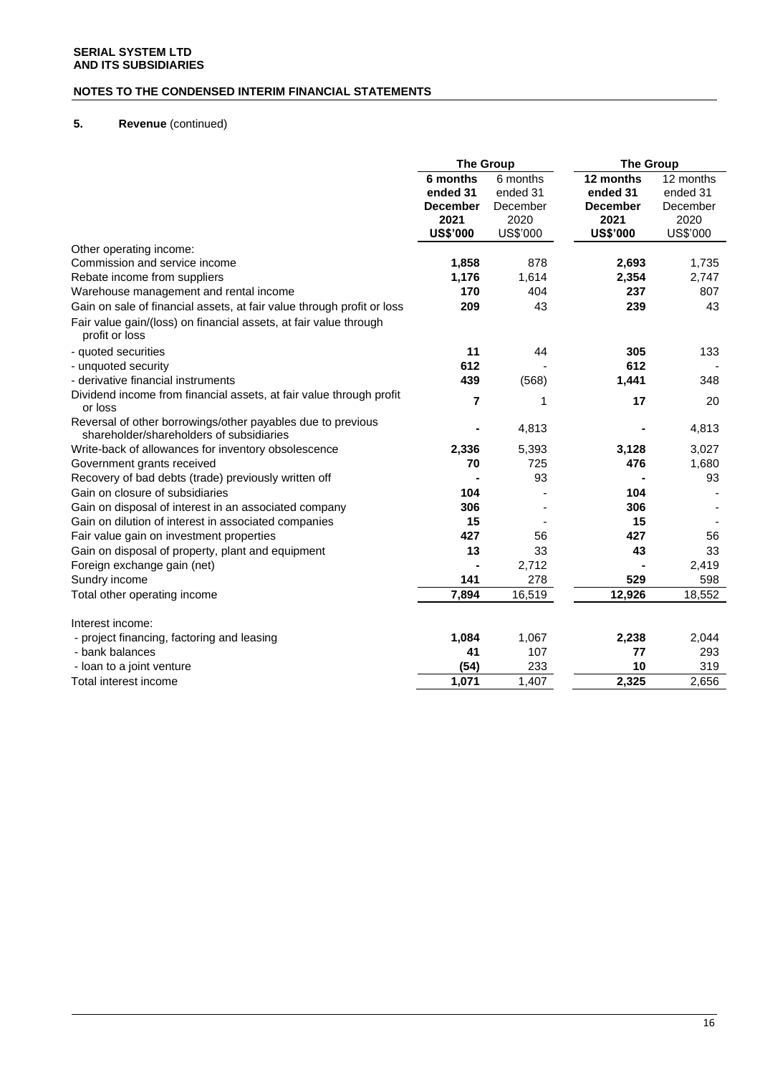# **NOTES TO THE CONDENSED INTERIM FINANCIAL STATEMENTS**

# **5. Revenue** (continued)

|                                                                                                         | <b>The Group</b>                                |                                          | <b>The Group</b>                                 |                                           |
|---------------------------------------------------------------------------------------------------------|-------------------------------------------------|------------------------------------------|--------------------------------------------------|-------------------------------------------|
|                                                                                                         | 6 months<br>ended 31<br><b>December</b><br>2021 | 6 months<br>ended 31<br>December<br>2020 | 12 months<br>ended 31<br><b>December</b><br>2021 | 12 months<br>ended 31<br>December<br>2020 |
|                                                                                                         | <b>US\$'000</b>                                 | US\$'000                                 | <b>US\$'000</b>                                  | US\$'000                                  |
| Other operating income:                                                                                 |                                                 |                                          |                                                  |                                           |
| Commission and service income                                                                           | 1,858                                           | 878                                      | 2,693                                            | 1,735                                     |
| Rebate income from suppliers                                                                            | 1,176                                           | 1,614                                    | 2,354                                            | 2,747                                     |
| Warehouse management and rental income                                                                  | 170                                             | 404                                      | 237                                              | 807                                       |
| Gain on sale of financial assets, at fair value through profit or loss                                  | 209                                             | 43                                       | 239                                              | 43                                        |
| Fair value gain/(loss) on financial assets, at fair value through<br>profit or loss                     |                                                 |                                          |                                                  |                                           |
| - quoted securities                                                                                     | 11                                              | 44                                       | 305                                              | 133                                       |
| - unquoted security                                                                                     | 612                                             |                                          | 612                                              |                                           |
| - derivative financial instruments                                                                      | 439                                             | (568)                                    | 1,441                                            | 348                                       |
| Dividend income from financial assets, at fair value through profit<br>or loss                          | $\overline{7}$                                  | 1                                        | 17                                               | 20                                        |
| Reversal of other borrowings/other payables due to previous<br>shareholder/shareholders of subsidiaries | $\blacksquare$                                  | 4,813                                    |                                                  | 4,813                                     |
| Write-back of allowances for inventory obsolescence                                                     | 2,336                                           | 5,393                                    | 3,128                                            | 3,027                                     |
| Government grants received                                                                              | 70                                              | 725                                      | 476                                              | 1,680                                     |
| Recovery of bad debts (trade) previously written off                                                    |                                                 | 93                                       |                                                  | 93                                        |
| Gain on closure of subsidiaries                                                                         | 104                                             |                                          | 104                                              |                                           |
| Gain on disposal of interest in an associated company                                                   | 306                                             |                                          | 306                                              |                                           |
| Gain on dilution of interest in associated companies                                                    | 15                                              |                                          | 15                                               |                                           |
| Fair value gain on investment properties                                                                | 427                                             | 56                                       | 427                                              | 56                                        |
| Gain on disposal of property, plant and equipment                                                       | 13                                              | 33                                       | 43                                               | 33                                        |
| Foreign exchange gain (net)                                                                             |                                                 | 2,712                                    |                                                  | 2,419                                     |
| Sundry income                                                                                           | 141                                             | 278                                      | 529                                              | 598                                       |
| Total other operating income                                                                            | 7,894                                           | 16,519                                   | 12,926                                           | 18,552                                    |
| Interest income:                                                                                        |                                                 |                                          |                                                  |                                           |
| - project financing, factoring and leasing                                                              | 1,084                                           | 1,067                                    | 2,238                                            | 2,044                                     |
| - bank balances                                                                                         | 41                                              | 107                                      | 77                                               | 293                                       |
| - loan to a joint venture                                                                               | (54)                                            | 233                                      | 10                                               | 319                                       |
| Total interest income                                                                                   | 1,071                                           | 1,407                                    | 2,325                                            | 2,656                                     |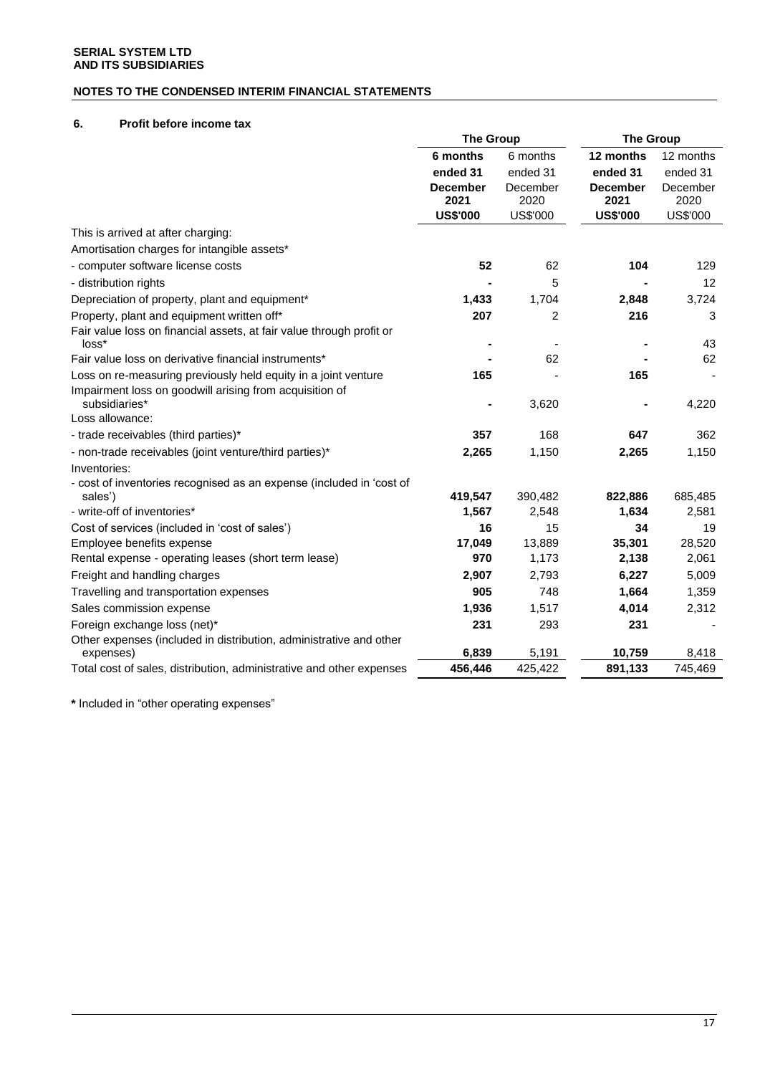# **NOTES TO THE CONDENSED INTERIM FINANCIAL STATEMENTS**

# **6. Profit before income tax**

|                                                                          | <b>The Group</b> |          | <b>The Group</b> |           |
|--------------------------------------------------------------------------|------------------|----------|------------------|-----------|
|                                                                          | 6 months         | 6 months | 12 months        | 12 months |
|                                                                          | ended 31         | ended 31 | ended 31         | ended 31  |
|                                                                          | <b>December</b>  | December | <b>December</b>  | December  |
|                                                                          | 2021             | 2020     | 2021             | 2020      |
|                                                                          | <b>US\$'000</b>  | US\$'000 | <b>US\$'000</b>  | US\$'000  |
| This is arrived at after charging:                                       |                  |          |                  |           |
| Amortisation charges for intangible assets*                              |                  |          |                  |           |
| - computer software license costs                                        | 52               | 62       | 104              | 129       |
| - distribution rights                                                    |                  | 5        |                  | 12        |
| Depreciation of property, plant and equipment*                           | 1,433            | 1,704    | 2,848            | 3,724     |
| Property, plant and equipment written off*                               | 207              | 2        | 216              | 3         |
| Fair value loss on financial assets, at fair value through profit or     |                  |          |                  |           |
| loss*                                                                    |                  |          |                  | 43        |
| Fair value loss on derivative financial instruments*                     |                  | 62       |                  | 62        |
| Loss on re-measuring previously held equity in a joint venture           | 165              |          | 165              |           |
| Impairment loss on goodwill arising from acquisition of<br>subsidiaries* |                  | 3,620    |                  | 4,220     |
| Loss allowance:                                                          |                  |          |                  |           |
| - trade receivables (third parties)*                                     | 357              | 168      | 647              | 362       |
| - non-trade receivables (joint venture/third parties)*                   | 2,265            | 1,150    | 2,265            | 1,150     |
| Inventories:                                                             |                  |          |                  |           |
| - cost of inventories recognised as an expense (included in 'cost of     |                  |          |                  |           |
| sales')                                                                  | 419,547          | 390,482  | 822,886          | 685,485   |
| - write-off of inventories*                                              | 1,567            | 2,548    | 1,634            | 2,581     |
| Cost of services (included in 'cost of sales')                           | 16               | 15       | 34               | 19        |
| Employee benefits expense                                                | 17,049           | 13,889   | 35,301           | 28,520    |
| Rental expense - operating leases (short term lease)                     | 970              | 1,173    | 2,138            | 2,061     |
| Freight and handling charges                                             | 2,907            | 2,793    | 6,227            | 5,009     |
| Travelling and transportation expenses                                   | 905              | 748      | 1,664            | 1,359     |
| Sales commission expense                                                 | 1,936            | 1,517    | 4,014            | 2,312     |
| Foreign exchange loss (net)*                                             | 231              | 293      | 231              |           |
| Other expenses (included in distribution, administrative and other       |                  |          |                  |           |
| expenses)                                                                | 6,839            | 5,191    | 10,759           | 8,418     |
| Total cost of sales, distribution, administrative and other expenses     | 456,446          | 425,422  | 891,133          | 745,469   |

**\*** Included in "other operating expenses"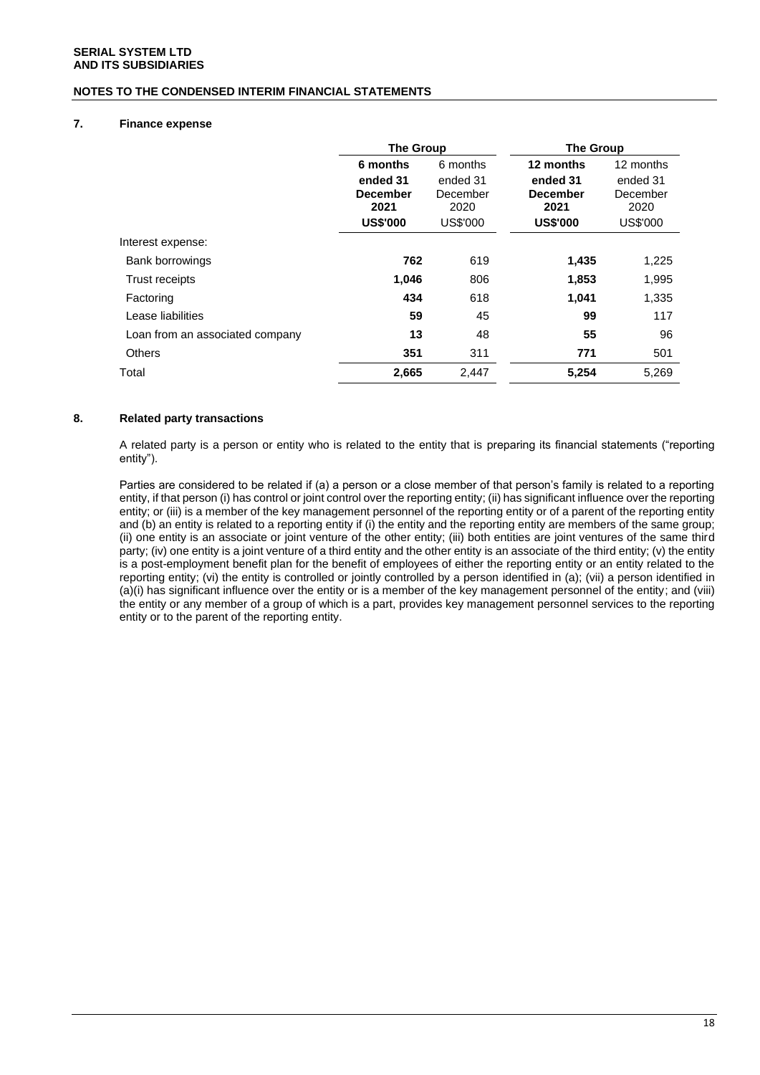### **NOTES TO THE CONDENSED INTERIM FINANCIAL STATEMENTS**

### **7. Finance expense**

|                                 | <b>The Group</b>                                                   |                                                      | <b>The Group</b>                                                    |                                                       |
|---------------------------------|--------------------------------------------------------------------|------------------------------------------------------|---------------------------------------------------------------------|-------------------------------------------------------|
|                                 | 6 months<br>ended 31<br><b>December</b><br>2021<br><b>US\$'000</b> | 6 months<br>ended 31<br>December<br>2020<br>US\$'000 | 12 months<br>ended 31<br><b>December</b><br>2021<br><b>US\$'000</b> | 12 months<br>ended 31<br>December<br>2020<br>US\$'000 |
| Interest expense:               |                                                                    |                                                      |                                                                     |                                                       |
| Bank borrowings                 | 762                                                                | 619                                                  | 1,435                                                               | 1,225                                                 |
| Trust receipts                  | 1,046                                                              | 806                                                  | 1,853                                                               | 1,995                                                 |
| Factoring                       | 434                                                                | 618                                                  | 1,041                                                               | 1,335                                                 |
| Lease liabilities               | 59                                                                 | 45                                                   | 99                                                                  | 117                                                   |
| Loan from an associated company | 13                                                                 | 48                                                   | 55                                                                  | 96                                                    |
| <b>Others</b>                   | 351                                                                | 311                                                  | 771                                                                 | 501                                                   |
| Total                           | 2,665                                                              | 2,447                                                | 5,254                                                               | 5,269                                                 |

### **8. Related party transactions**

A related party is a person or entity who is related to the entity that is preparing its financial statements ("reporting entity").

Parties are considered to be related if (a) a person or a close member of that person's family is related to a reporting entity, if that person (i) has control or joint control over the reporting entity; (ii) has significant influence over the reporting entity; or (iii) is a member of the key management personnel of the reporting entity or of a parent of the reporting entity and (b) an entity is related to a reporting entity if (i) the entity and the reporting entity are members of the same group; (ii) one entity is an associate or joint venture of the other entity; (iii) both entities are joint ventures of the same third party; (iv) one entity is a joint venture of a third entity and the other entity is an associate of the third entity; (v) the entity is a post-employment benefit plan for the benefit of employees of either the reporting entity or an entity related to the reporting entity; (vi) the entity is controlled or jointly controlled by a person identified in (a); (vii) a person identified in (a)(i) has significant influence over the entity or is a member of the key management personnel of the entity; and (viii) the entity or any member of a group of which is a part, provides key management personnel services to the reporting entity or to the parent of the reporting entity.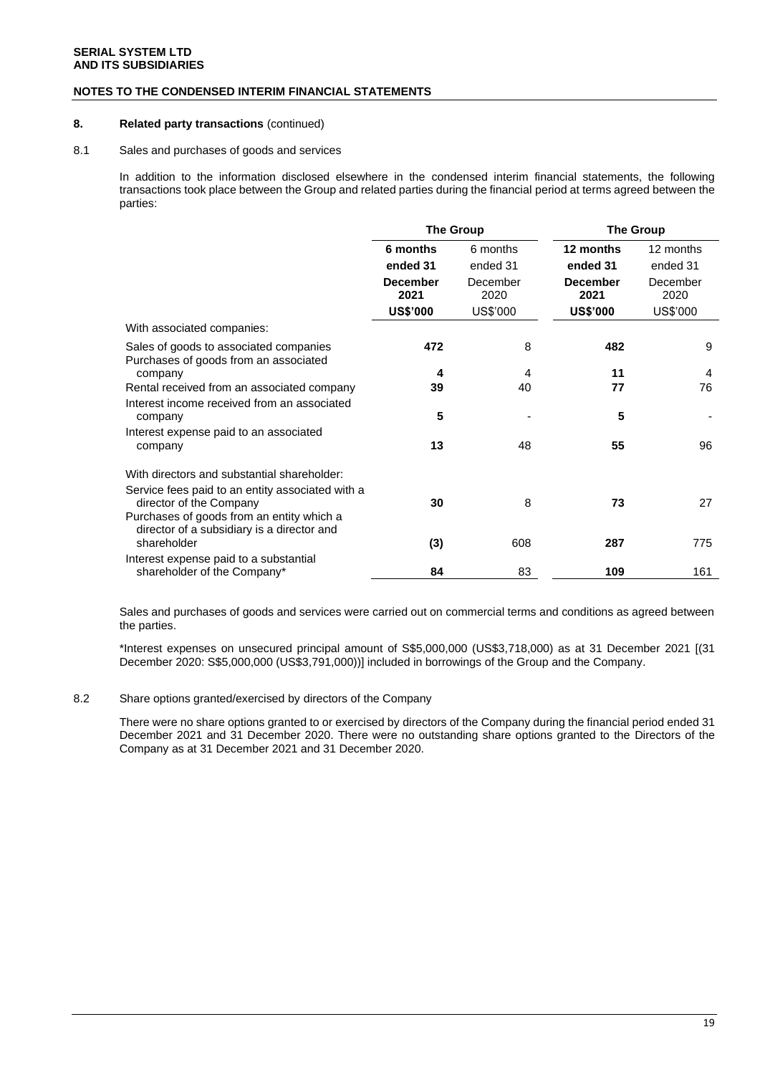### **NOTES TO THE CONDENSED INTERIM FINANCIAL STATEMENTS**

### **8. Related party transactions** (continued)

#### 8.1 Sales and purchases of goods and services

In addition to the information disclosed elsewhere in the condensed interim financial statements, the following transactions took place between the Group and related parties during the financial period at terms agreed between the parties:

|                                                                                         | <b>The Group</b>        |                  | <b>The Group</b>        |                  |
|-----------------------------------------------------------------------------------------|-------------------------|------------------|-------------------------|------------------|
|                                                                                         | 6 months                | 6 months         | 12 months               | 12 months        |
|                                                                                         | ended 31                | ended 31         | ended 31                | ended 31         |
|                                                                                         | <b>December</b><br>2021 | December<br>2020 | <b>December</b><br>2021 | December<br>2020 |
|                                                                                         | <b>US\$'000</b>         | US\$'000         | <b>US\$'000</b>         | US\$'000         |
| With associated companies:                                                              |                         |                  |                         |                  |
| Sales of goods to associated companies<br>Purchases of goods from an associated         | 472                     | 8                | 482                     | 9                |
| company                                                                                 | 4                       | 4                | 11                      | 4                |
| Rental received from an associated company                                              | 39                      | 40               | 77                      | 76               |
| Interest income received from an associated<br>company                                  | 5                       |                  | 5                       |                  |
| Interest expense paid to an associated                                                  |                         |                  |                         |                  |
| company                                                                                 | 13                      | 48               | 55                      | 96               |
| With directors and substantial shareholder:                                             |                         |                  |                         |                  |
| Service fees paid to an entity associated with a<br>director of the Company             | 30                      | 8                | 73                      | 27               |
| Purchases of goods from an entity which a<br>director of a subsidiary is a director and |                         |                  |                         |                  |
| shareholder                                                                             | (3)                     | 608              | 287                     | 775              |
| Interest expense paid to a substantial<br>shareholder of the Company*                   | 84                      | 83               | 109                     | 161              |
|                                                                                         |                         |                  |                         |                  |

Sales and purchases of goods and services were carried out on commercial terms and conditions as agreed between the parties.

\*Interest expenses on unsecured principal amount of S\$5,000,000 (US\$3,718,000) as at 31 December 2021 [(31 December 2020: S\$5,000,000 (US\$3,791,000))] included in borrowings of the Group and the Company.

### 8.2 Share options granted/exercised by directors of the Company

There were no share options granted to or exercised by directors of the Company during the financial period ended 31 December 2021 and 31 December 2020. There were no outstanding share options granted to the Directors of the Company as at 31 December 2021 and 31 December 2020.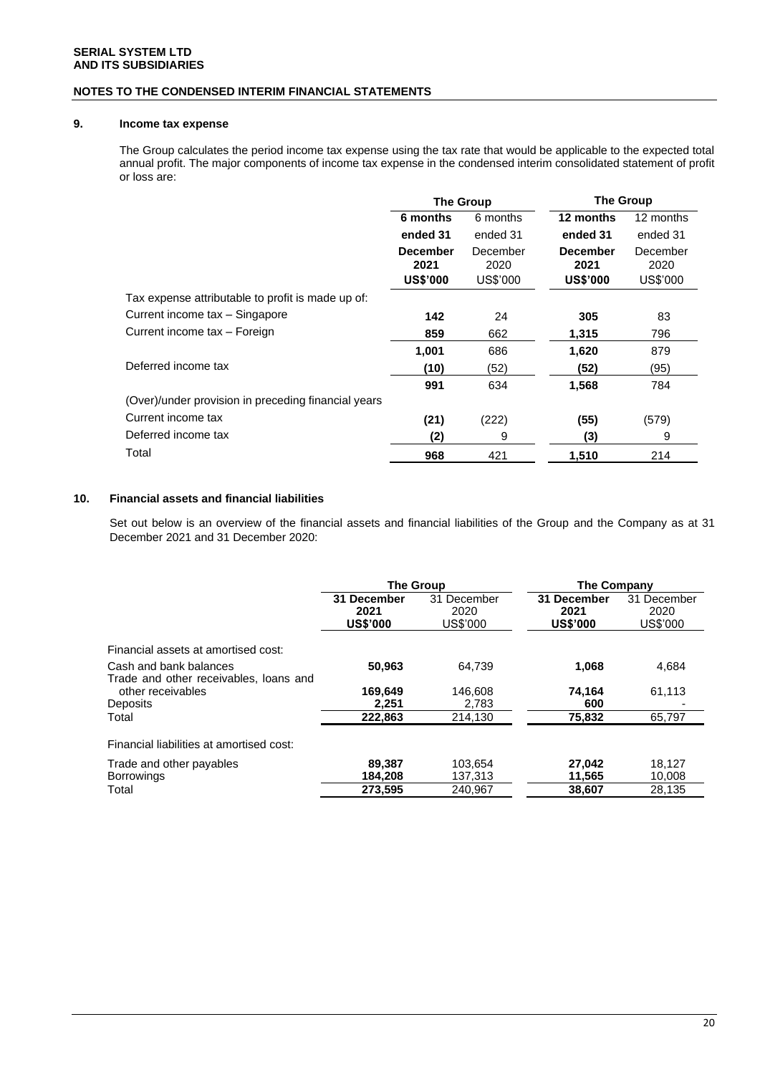### **NOTES TO THE CONDENSED INTERIM FINANCIAL STATEMENTS**

### **9. Income tax expense**

The Group calculates the period income tax expense using the tax rate that would be applicable to the expected total annual profit. The major components of income tax expense in the condensed interim consolidated statement of profit or loss are:

|                                                     | <b>The Group</b>                           |                              | <b>The Group</b>                           |                              |
|-----------------------------------------------------|--------------------------------------------|------------------------------|--------------------------------------------|------------------------------|
|                                                     | 6 months                                   | 6 months                     | 12 months                                  | 12 months                    |
|                                                     | ended 31                                   | ended 31                     | ended 31                                   | ended 31                     |
|                                                     | <b>December</b><br>2021<br><b>US\$'000</b> | December<br>2020<br>US\$'000 | <b>December</b><br>2021<br><b>US\$'000</b> | December<br>2020<br>US\$'000 |
| Tax expense attributable to profit is made up of:   |                                            |                              |                                            |                              |
| Current income tax - Singapore                      | 142                                        | 24                           | 305                                        | 83                           |
| Current income tax - Foreign                        | 859                                        | 662                          | 1,315                                      | 796                          |
|                                                     | 1,001                                      | 686                          | 1,620                                      | 879                          |
| Deferred income tax                                 | (10)                                       | (52)                         | (52)                                       | (95)                         |
|                                                     | 991                                        | 634                          | 1,568                                      | 784                          |
| (Over)/under provision in preceding financial years |                                            |                              |                                            |                              |
| Current income tax                                  | (21)                                       | (222)                        | (55)                                       | (579)                        |
| Deferred income tax                                 | (2)                                        | 9                            | (3)                                        | 9                            |
| Total                                               | 968                                        | 421                          | 1,510                                      | 214                          |

### **10. Financial assets and financial liabilities**

Set out below is an overview of the financial assets and financial liabilities of the Group and the Company as at 31 December 2021 and 31 December 2020:

|                                          | <b>The Group</b>                       |                                 | <b>The Company</b>                     |                                 |
|------------------------------------------|----------------------------------------|---------------------------------|----------------------------------------|---------------------------------|
|                                          | 31 December<br>2021<br><b>US\$'000</b> | 31 December<br>2020<br>US\$'000 | 31 December<br>2021<br><b>US\$'000</b> | 31 December<br>2020<br>US\$'000 |
| Financial assets at amortised cost:      |                                        |                                 |                                        |                                 |
| Cash and bank balances                   | 50,963                                 | 64.739                          | 1,068                                  | 4,684                           |
| Trade and other receivables, loans and   |                                        |                                 |                                        |                                 |
| other receivables                        | 169,649                                | 146.608                         | 74.164                                 | 61,113                          |
| Deposits                                 | 2,251                                  | 2,783                           | 600                                    |                                 |
| Total                                    | 222,863                                | 214,130                         | 75,832                                 | 65,797                          |
| Financial liabilities at amortised cost: |                                        |                                 |                                        |                                 |
| Trade and other payables                 | 89.387                                 | 103.654                         | 27.042                                 | 18.127                          |
| <b>Borrowings</b>                        | 184.208                                | 137,313                         | 11,565                                 | 10.008                          |
| Total                                    | 273,595                                | 240.967                         | 38,607                                 | 28,135                          |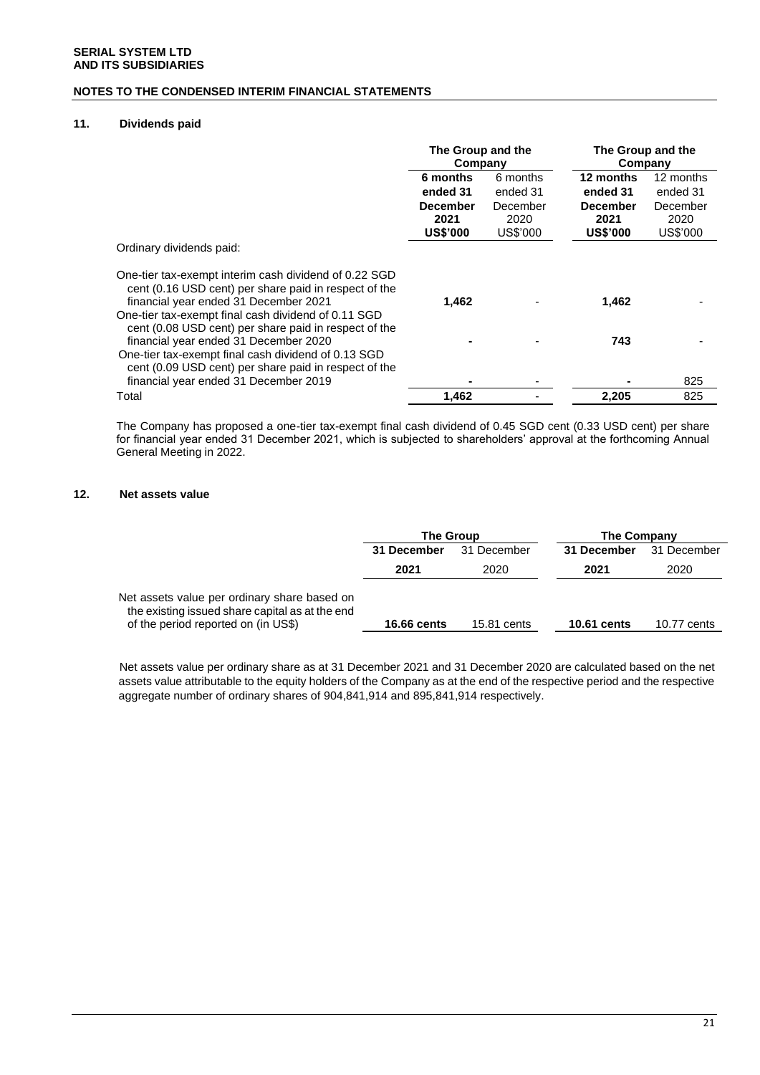### **NOTES TO THE CONDENSED INTERIM FINANCIAL STATEMENTS**

### **11. Dividends paid**

|                                                                                                                                                                                                                                                                         | The Group and the<br>Company               |                              | The Group and the<br>Company               |                              |
|-------------------------------------------------------------------------------------------------------------------------------------------------------------------------------------------------------------------------------------------------------------------------|--------------------------------------------|------------------------------|--------------------------------------------|------------------------------|
|                                                                                                                                                                                                                                                                         | 6 months                                   | 6 months                     | 12 months                                  | 12 months                    |
|                                                                                                                                                                                                                                                                         | ended 31                                   | ended 31                     | ended 31                                   | ended 31                     |
|                                                                                                                                                                                                                                                                         | <b>December</b><br>2021<br><b>US\$'000</b> | December<br>2020<br>US\$'000 | <b>December</b><br>2021<br><b>US\$'000</b> | December<br>2020<br>US\$'000 |
| Ordinary dividends paid:                                                                                                                                                                                                                                                |                                            |                              |                                            |                              |
| One-tier tax-exempt interim cash dividend of 0.22 SGD<br>cent (0.16 USD cent) per share paid in respect of the<br>financial year ended 31 December 2021<br>One-tier tax-exempt final cash dividend of 0.11 SGD<br>cent (0.08 USD cent) per share paid in respect of the | 1,462                                      |                              | 1,462                                      |                              |
| financial year ended 31 December 2020<br>One-tier tax-exempt final cash dividend of 0.13 SGD<br>cent (0.09 USD cent) per share paid in respect of the                                                                                                                   |                                            |                              | 743                                        |                              |
| financial year ended 31 December 2019                                                                                                                                                                                                                                   |                                            |                              |                                            | 825                          |
| Total                                                                                                                                                                                                                                                                   | 1,462                                      |                              | 2,205                                      | 825                          |

The Company has proposed a one-tier tax-exempt final cash dividend of 0.45 SGD cent (0.33 USD cent) per share for financial year ended 31 December 2021, which is subjected to shareholders' approval at the forthcoming Annual General Meeting in 2022.

### **12. Net assets value**

|                                                                                                                                        | <b>The Group</b>           |             | The Company        |             |
|----------------------------------------------------------------------------------------------------------------------------------------|----------------------------|-------------|--------------------|-------------|
|                                                                                                                                        | 31 December<br>31 December |             | 31 December        | 31 December |
|                                                                                                                                        | 2021                       | 2020        | 2021               | 2020        |
| Net assets value per ordinary share based on<br>the existing issued share capital as at the end<br>of the period reported on (in US\$) | <b>16.66 cents</b>         | 15.81 cents | <b>10.61 cents</b> | 10.77 cents |

Net assets value per ordinary share as at 31 December 2021 and 31 December 2020 are calculated based on the net assets value attributable to the equity holders of the Company as at the end of the respective period and the respective aggregate number of ordinary shares of 904,841,914 and 895,841,914 respectively.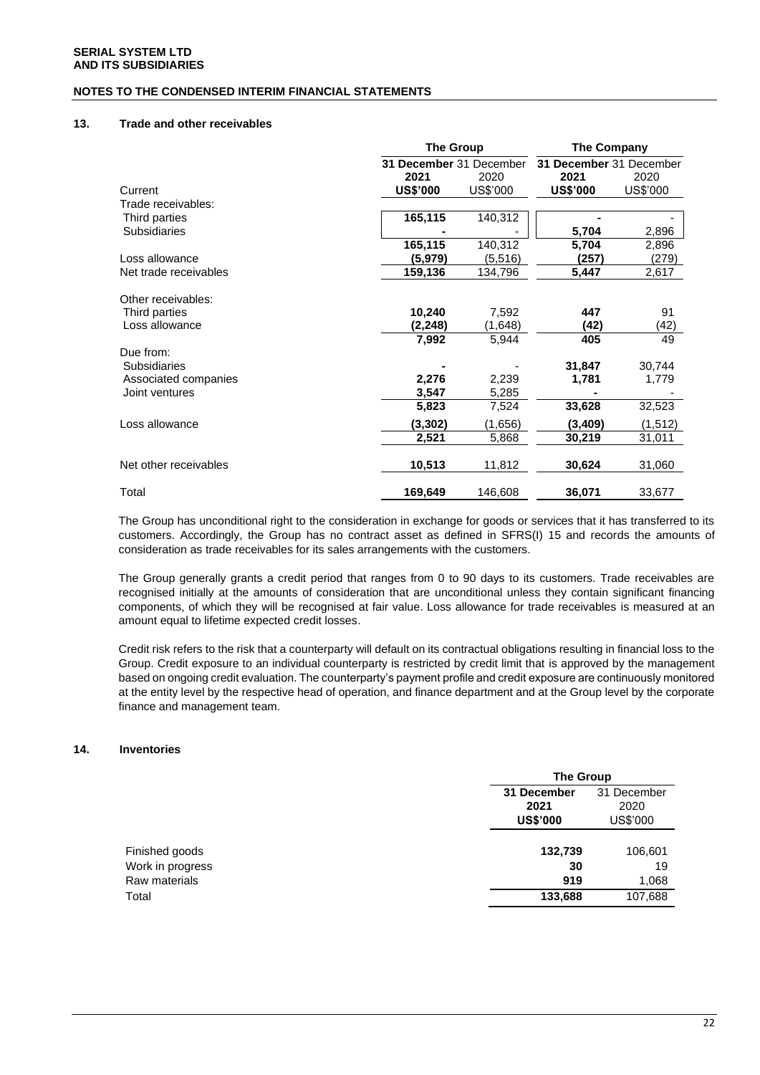### **NOTES TO THE CONDENSED INTERIM FINANCIAL STATEMENTS**

#### **13. Trade and other receivables**

|                       | <b>The Group</b>        |          | The Company             |          |  |
|-----------------------|-------------------------|----------|-------------------------|----------|--|
|                       | 31 December 31 December |          | 31 December 31 December |          |  |
|                       | 2021                    | 2020     | 2021                    | 2020     |  |
| Current               | <b>US\$'000</b>         | US\$'000 | <b>US\$'000</b>         | US\$'000 |  |
| Trade receivables:    |                         |          |                         |          |  |
| Third parties         | 165,115                 | 140,312  |                         |          |  |
| <b>Subsidiaries</b>   |                         |          | 5,704                   | 2,896    |  |
|                       | 165,115                 | 140,312  | 5,704                   | 2,896    |  |
| Loss allowance        | (5,979)                 | (5,516)  | (257)                   | (279)    |  |
| Net trade receivables | 159,136                 | 134,796  | 5,447                   | 2,617    |  |
| Other receivables:    |                         |          |                         |          |  |
| Third parties         | 10,240                  | 7,592    | 447                     | 91       |  |
| Loss allowance        | (2,248)                 | (1,648)  | (42)                    | (42)     |  |
|                       | 7,992                   | 5,944    | 405                     | 49       |  |
| Due from:             |                         |          |                         |          |  |
| <b>Subsidiaries</b>   |                         |          | 31,847                  | 30,744   |  |
| Associated companies  | 2,276                   | 2,239    | 1,781                   | 1,779    |  |
| Joint ventures        | 3,547                   | 5,285    |                         |          |  |
|                       | 5,823                   | 7,524    | 33,628                  | 32,523   |  |
| Loss allowance        | (3, 302)                | (1,656)  | (3,409)                 | (1, 512) |  |
|                       | 2,521                   | 5,868    | 30,219                  | 31,011   |  |
| Net other receivables | 10,513                  | 11,812   | 30,624                  | 31,060   |  |
| Total                 | 169,649                 | 146,608  | 36,071                  | 33,677   |  |

The Group has unconditional right to the consideration in exchange for goods or services that it has transferred to its customers. Accordingly, the Group has no contract asset as defined in SFRS(I) 15 and records the amounts of consideration as trade receivables for its sales arrangements with the customers.

The Group generally grants a credit period that ranges from 0 to 90 days to its customers. Trade receivables are recognised initially at the amounts of consideration that are unconditional unless they contain significant financing components, of which they will be recognised at fair value. Loss allowance for trade receivables is measured at an amount equal to lifetime expected credit losses.

Credit risk refers to the risk that a counterparty will default on its contractual obligations resulting in financial loss to the Group. Credit exposure to an individual counterparty is restricted by credit limit that is approved by the management based on ongoing credit evaluation. The counterparty's payment profile and credit exposure are continuously monitored at the entity level by the respective head of operation, and finance department and at the Group level by the corporate finance and management team.

### **14. Inventories**

|                  | The Group                              |                                 |  |
|------------------|----------------------------------------|---------------------------------|--|
|                  | 31 December<br>2021<br><b>US\$'000</b> | 31 December<br>2020<br>US\$'000 |  |
| Finished goods   | 132,739                                | 106,601                         |  |
| Work in progress | 30                                     | 19                              |  |
| Raw materials    | 919                                    | 1,068                           |  |
| Total            | 133,688                                | 107,688                         |  |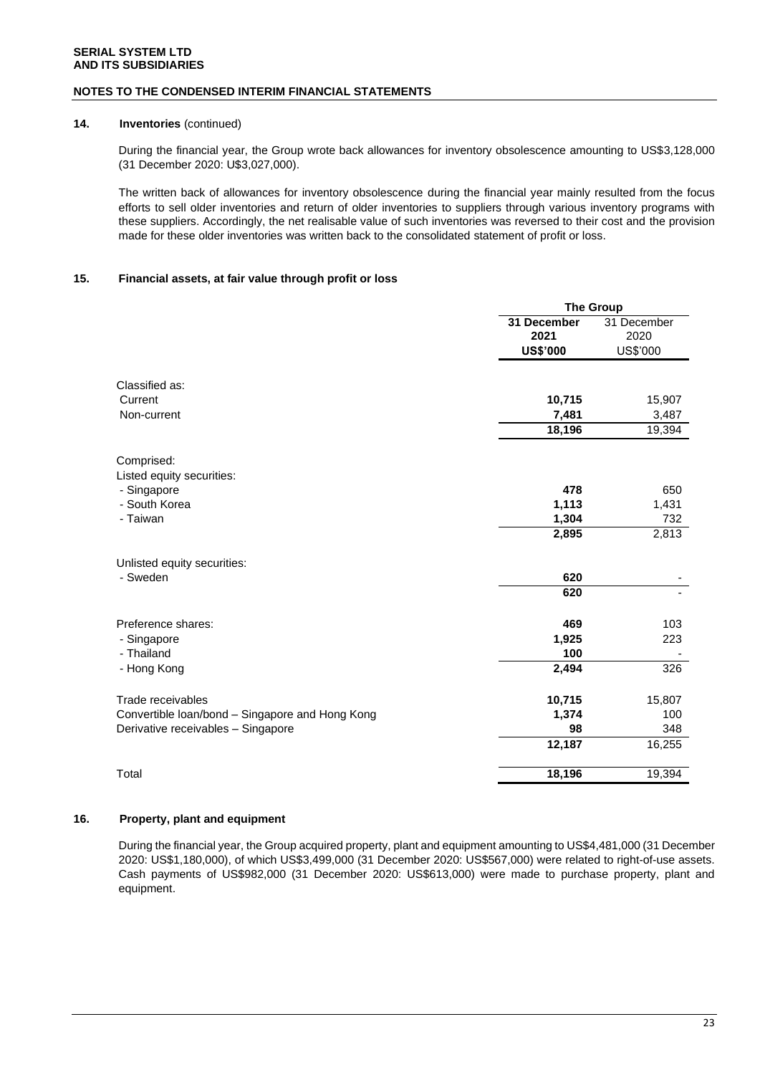#### **NOTES TO THE CONDENSED INTERIM FINANCIAL STATEMENTS**

### **14. Inventories** (continued)

During the financial year, the Group wrote back allowances for inventory obsolescence amounting to US\$3,128,000 (31 December 2020: U\$3,027,000).

The written back of allowances for inventory obsolescence during the financial year mainly resulted from the focus efforts to sell older inventories and return of older inventories to suppliers through various inventory programs with these suppliers. Accordingly, the net realisable value of such inventories was reversed to their cost and the provision made for these older inventories was written back to the consolidated statement of profit or loss.

### **15. Financial assets, at fair value through profit or loss**

|                                                 | <b>The Group</b>    |                     |  |
|-------------------------------------------------|---------------------|---------------------|--|
|                                                 | 31 December<br>2021 | 31 December<br>2020 |  |
|                                                 | <b>US\$'000</b>     | US\$'000            |  |
|                                                 |                     |                     |  |
| Classified as:                                  |                     |                     |  |
| Current                                         | 10,715              | 15,907              |  |
| Non-current                                     | 7,481               | 3,487               |  |
|                                                 | 18,196              | 19,394              |  |
| Comprised:                                      |                     |                     |  |
| Listed equity securities:                       |                     |                     |  |
| - Singapore                                     | 478                 | 650                 |  |
| - South Korea                                   | 1,113               | 1,431               |  |
| - Taiwan                                        | 1,304               | 732                 |  |
|                                                 | 2,895               | 2,813               |  |
| Unlisted equity securities:                     |                     |                     |  |
| - Sweden                                        | 620                 |                     |  |
|                                                 | 620                 |                     |  |
| Preference shares:                              | 469                 | 103                 |  |
| - Singapore                                     | 1,925               | 223                 |  |
| - Thailand                                      | 100                 |                     |  |
| - Hong Kong                                     | 2,494               | 326                 |  |
| Trade receivables                               | 10,715              | 15,807              |  |
| Convertible loan/bond - Singapore and Hong Kong | 1,374               | 100                 |  |
| Derivative receivables - Singapore              | 98                  | 348                 |  |
|                                                 | 12,187              | 16,255              |  |
|                                                 |                     |                     |  |
| Total                                           | 18,196              | 19,394              |  |

### **16. Property, plant and equipment**

During the financial year, the Group acquired property, plant and equipment amounting to US\$4,481,000 (31 December 2020: US\$1,180,000), of which US\$3,499,000 (31 December 2020: US\$567,000) were related to right-of-use assets. Cash payments of US\$982,000 (31 December 2020: US\$613,000) were made to purchase property, plant and equipment.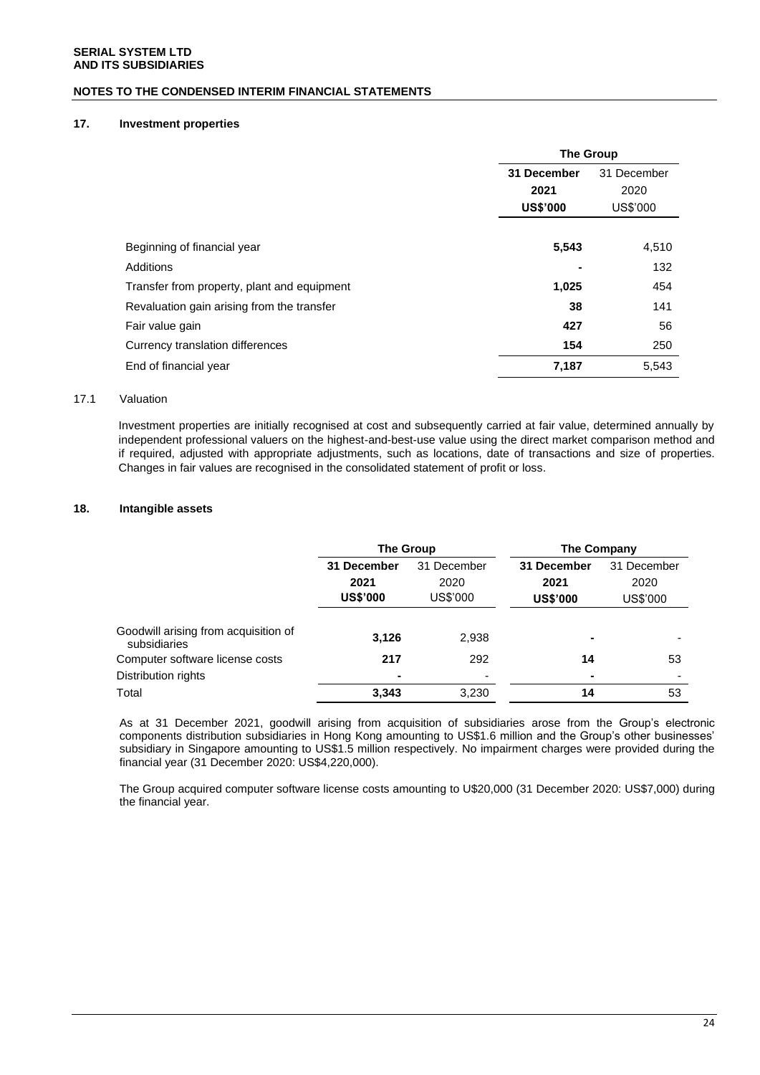### **NOTES TO THE CONDENSED INTERIM FINANCIAL STATEMENTS**

### **17. Investment properties**

|                                             | <b>The Group</b>           |          |  |
|---------------------------------------------|----------------------------|----------|--|
|                                             | 31 December<br>31 December |          |  |
|                                             | 2021                       | 2020     |  |
|                                             | <b>US\$'000</b>            | US\$'000 |  |
|                                             |                            |          |  |
| Beginning of financial year                 | 5,543                      | 4,510    |  |
| Additions                                   |                            | 132      |  |
| Transfer from property, plant and equipment | 1,025                      | 454      |  |
| Revaluation gain arising from the transfer  | 38                         | 141      |  |
| Fair value gain                             | 427                        | 56       |  |
| Currency translation differences            | 154                        | 250      |  |
| End of financial year                       | 7,187                      | 5,543    |  |

### 17.1 Valuation

Investment properties are initially recognised at cost and subsequently carried at fair value, determined annually by independent professional valuers on the highest-and-best-use value using the direct market comparison method and if required, adjusted with appropriate adjustments, such as locations, date of transactions and size of properties. Changes in fair values are recognised in the consolidated statement of profit or loss.

### **18. Intangible assets**

|                                                      | The Group                              |                                 | The Company                            |                                 |  |
|------------------------------------------------------|----------------------------------------|---------------------------------|----------------------------------------|---------------------------------|--|
|                                                      | 31 December<br>2021<br><b>US\$'000</b> | 31 December<br>2020<br>US\$'000 | 31 December<br>2021<br><b>US\$'000</b> | 31 December<br>2020<br>US\$'000 |  |
| Goodwill arising from acquisition of<br>subsidiaries | 3,126                                  | 2,938                           | ۰                                      |                                 |  |
| Computer software license costs                      | 217                                    | 292                             | 14                                     | 53                              |  |
| Distribution rights                                  | $\blacksquare$                         | ۰                               |                                        |                                 |  |
| Total                                                | 3,343                                  | 3.230                           | 14                                     | 53                              |  |

As at 31 December 2021, goodwill arising from acquisition of subsidiaries arose from the Group's electronic components distribution subsidiaries in Hong Kong amounting to US\$1.6 million and the Group's other businesses' subsidiary in Singapore amounting to US\$1.5 million respectively. No impairment charges were provided during the financial year (31 December 2020: US\$4,220,000).

The Group acquired computer software license costs amounting to U\$20,000 (31 December 2020: US\$7,000) during the financial year.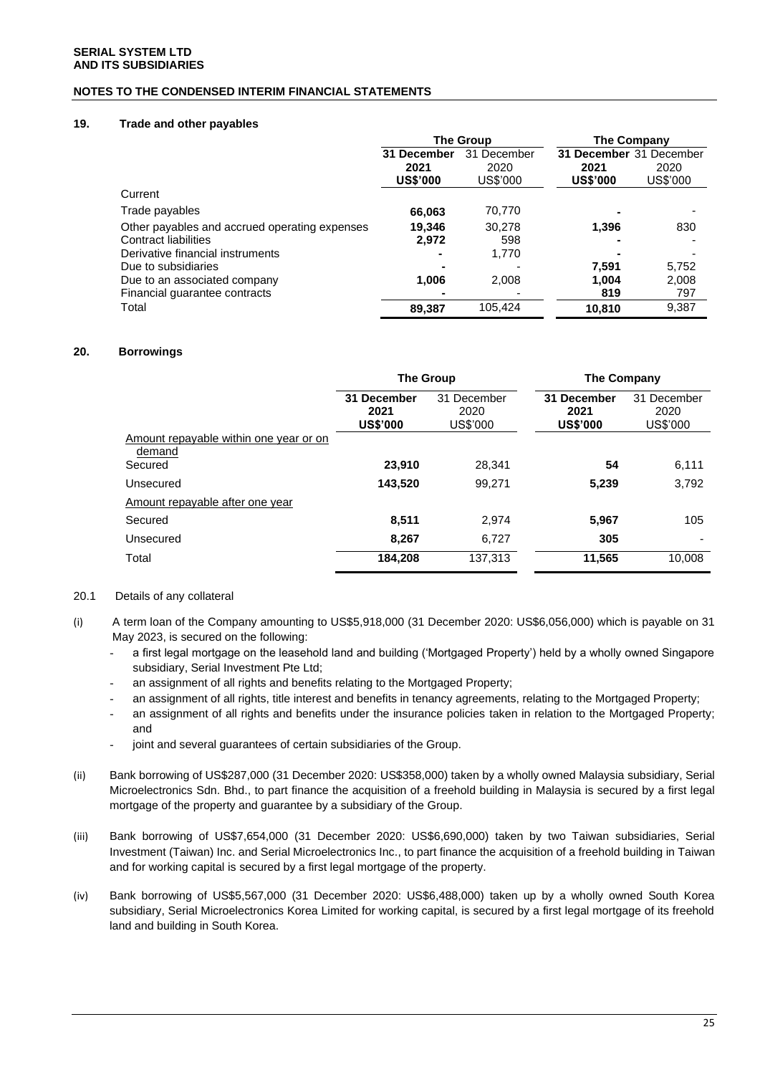### **NOTES TO THE CONDENSED INTERIM FINANCIAL STATEMENTS**

### **19. Trade and other payables**

|                                               | <b>The Group</b>                       |                                 | <b>The Company</b>                                 |                  |
|-----------------------------------------------|----------------------------------------|---------------------------------|----------------------------------------------------|------------------|
|                                               | 31 December<br>2021<br><b>US\$'000</b> | 31 December<br>2020<br>US\$'000 | 31 December 31 December<br>2021<br><b>US\$'000</b> | 2020<br>US\$'000 |
| Current                                       |                                        |                                 |                                                    |                  |
| Trade payables                                | 66,063                                 | 70,770                          |                                                    |                  |
| Other payables and accrued operating expenses | 19.346                                 | 30.278                          | 1.396                                              | 830              |
| Contract liabilities                          | 2,972                                  | 598                             |                                                    |                  |
| Derivative financial instruments              |                                        | 1,770                           |                                                    |                  |
| Due to subsidiaries                           |                                        |                                 | 7.591                                              | 5,752            |
| Due to an associated company                  | 1,006                                  | 2,008                           | 1,004                                              | 2,008            |
| Financial guarantee contracts                 |                                        |                                 | 819                                                | 797              |
| Total                                         | 89,387                                 | 105,424                         | 10.810                                             | 9,387            |

### **20. Borrowings**

|                                                  | <b>The Group</b>                       |                                 | <b>The Company</b>                     |                                 |
|--------------------------------------------------|----------------------------------------|---------------------------------|----------------------------------------|---------------------------------|
|                                                  | 31 December<br>2021<br><b>US\$'000</b> | 31 December<br>2020<br>US\$'000 | 31 December<br>2021<br><b>US\$'000</b> | 31 December<br>2020<br>US\$'000 |
| Amount repayable within one year or on<br>demand |                                        |                                 |                                        |                                 |
| Secured                                          | 23,910                                 | 28.341                          | 54                                     | 6,111                           |
| Unsecured                                        | 143,520                                | 99.271                          | 5,239                                  | 3,792                           |
| Amount repayable after one year                  |                                        |                                 |                                        |                                 |
| Secured                                          | 8.511                                  | 2.974                           | 5,967                                  | 105                             |
| Unsecured                                        | 8,267                                  | 6.727                           | 305                                    |                                 |
| Total                                            | 184,208                                | 137,313                         | 11,565                                 | 10,008                          |

### 20.1 Details of any collateral

- (i) A term loan of the Company amounting to US\$5,918,000 (31 December 2020: US\$6,056,000) which is payable on 31 May 2023, is secured on the following:
	- a first legal mortgage on the leasehold land and building ('Mortgaged Property') held by a wholly owned Singapore subsidiary, Serial Investment Pte Ltd;
	- an assignment of all rights and benefits relating to the Mortgaged Property;
	- an assignment of all rights, title interest and benefits in tenancy agreements, relating to the Mortgaged Property;
	- an assignment of all rights and benefits under the insurance policies taken in relation to the Mortgaged Property; and
	- joint and several guarantees of certain subsidiaries of the Group.
- (ii) Bank borrowing of US\$287,000 (31 December 2020: US\$358,000) taken by a wholly owned Malaysia subsidiary, Serial Microelectronics Sdn. Bhd., to part finance the acquisition of a freehold building in Malaysia is secured by a first legal mortgage of the property and guarantee by a subsidiary of the Group.
- (iii) Bank borrowing of US\$7,654,000 (31 December 2020: US\$6,690,000) taken by two Taiwan subsidiaries, Serial Investment (Taiwan) Inc. and Serial Microelectronics Inc., to part finance the acquisition of a freehold building in Taiwan and for working capital is secured by a first legal mortgage of the property.
- (iv) Bank borrowing of US\$5,567,000 (31 December 2020: US\$6,488,000) taken up by a wholly owned South Korea subsidiary, Serial Microelectronics Korea Limited for working capital, is secured by a first legal mortgage of its freehold land and building in South Korea.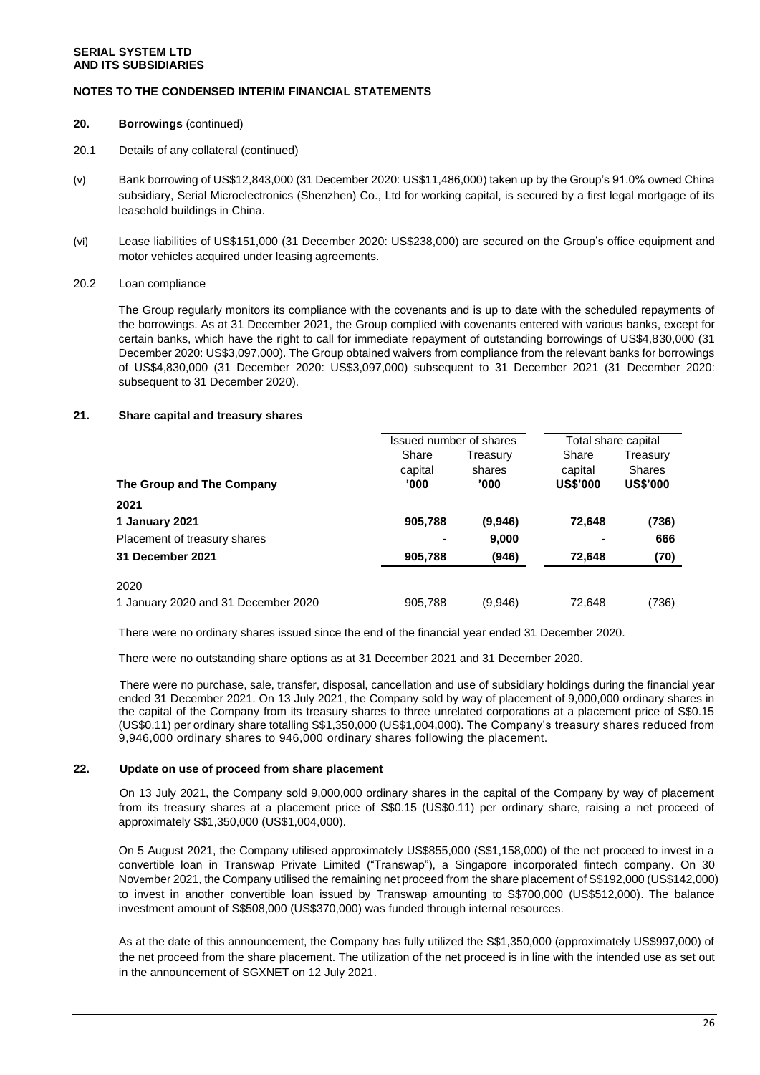### **NOTES TO THE CONDENSED INTERIM FINANCIAL STATEMENTS**

### **20. Borrowings** (continued)

- 20.1 Details of any collateral (continued)
- (v) Bank borrowing of US\$12,843,000 (31 December 2020: US\$11,486,000) taken up by the Group's 91.0% owned China subsidiary, Serial Microelectronics (Shenzhen) Co., Ltd for working capital, is secured by a first legal mortgage of its leasehold buildings in China.
- (vi) Lease liabilities of US\$151,000 (31 December 2020: US\$238,000) are secured on the Group's office equipment and motor vehicles acquired under leasing agreements.

### 20.2 Loan compliance

The Group regularly monitors its compliance with the covenants and is up to date with the scheduled repayments of the borrowings. As at 31 December 2021, the Group complied with covenants entered with various banks, except for certain banks, which have the right to call for immediate repayment of outstanding borrowings of US\$4,830,000 (31 December 2020: US\$3,097,000). The Group obtained waivers from compliance from the relevant banks for borrowings of US\$4,830,000 (31 December 2020: US\$3,097,000) subsequent to 31 December 2021 (31 December 2020: subsequent to 31 December 2020).

### **21. Share capital and treasury shares**

|                                     | Issued number of shares |          | Total share capital |                 |
|-------------------------------------|-------------------------|----------|---------------------|-----------------|
|                                     | Share                   | Treasury | Share               | Treasury        |
|                                     | capital                 | shares   | capital             | <b>Shares</b>   |
| The Group and The Company           | '000                    | '000     | <b>US\$'000</b>     | <b>US\$'000</b> |
| 2021                                |                         |          |                     |                 |
| 1 January 2021                      | 905,788                 | (9,946)  | 72,648              | (736)           |
| Placement of treasury shares        |                         | 9,000    |                     | 666             |
| 31 December 2021                    | 905,788                 | (946)    | 72,648              | (70)            |
| 2020                                |                         |          |                     |                 |
| 1 January 2020 and 31 December 2020 | 905,788                 | (9.946)  | 72,648              | (736)           |

There were no ordinary shares issued since the end of the financial year ended 31 December 2020.

There were no outstanding share options as at 31 December 2021 and 31 December 2020.

There were no purchase, sale, transfer, disposal, cancellation and use of subsidiary holdings during the financial year ended 31 December 2021. On 13 July 2021, the Company sold by way of placement of 9,000,000 ordinary shares in the capital of the Company from its treasury shares to three unrelated corporations at a placement price of S\$0.15 (US\$0.11) per ordinary share totalling S\$1,350,000 (US\$1,004,000). The Company's treasury shares reduced from 9,946,000 ordinary shares to 946,000 ordinary shares following the placement.

#### **22. Update on use of proceed from share placement**

On 13 July 2021, the Company sold 9,000,000 ordinary shares in the capital of the Company by way of placement from its treasury shares at a placement price of S\$0.15 (US\$0.11) per ordinary share, raising a net proceed of approximately S\$1,350,000 (US\$1,004,000).

On 5 August 2021, the Company utilised approximately US\$855,000 (S\$1,158,000) of the net proceed to invest in a convertible loan in Transwap Private Limited ("Transwap"), a Singapore incorporated fintech company. On 30 November 2021, the Company utilised the remaining net proceed from the share placement of S\$192,000 (US\$142,000) to invest in another convertible loan issued by Transwap amounting to S\$700,000 (US\$512,000). The balance investment amount of S\$508,000 (US\$370,000) was funded through internal resources.

As at the date of this announcement, the Company has fully utilized the S\$1,350,000 (approximately US\$997,000) of the net proceed from the share placement. The utilization of the net proceed is in line with the intended use as set out in the announcement of SGXNET on 12 July 2021.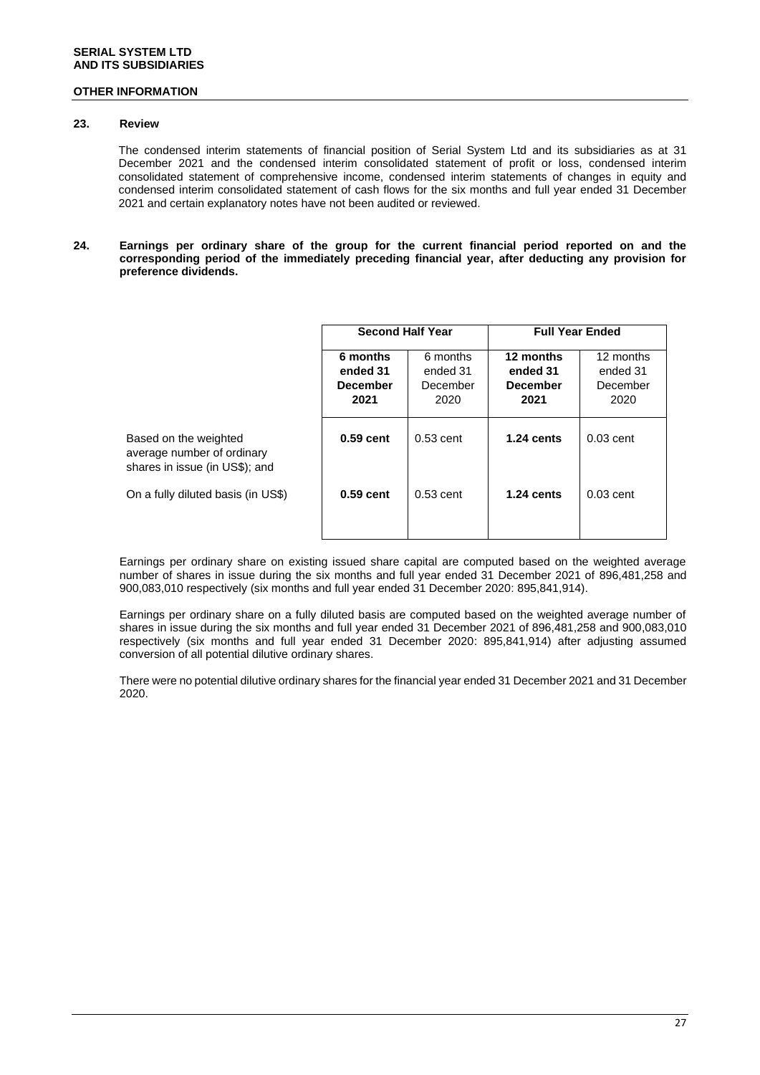### **23. Review**

The condensed interim statements of financial position of Serial System Ltd and its subsidiaries as at 31 December 2021 and the condensed interim consolidated statement of profit or loss, condensed interim consolidated statement of comprehensive income, condensed interim statements of changes in equity and condensed interim consolidated statement of cash flows for the six months and full year ended 31 December 2021 and certain explanatory notes have not been audited or reviewed.

**24. Earnings per ordinary share of the group for the current financial period reported on and the corresponding period of the immediately preceding financial year, after deducting any provision for preference dividends.**

|                                                                                       | <b>Second Half Year</b>                         |                                          | <b>Full Year Ended</b>                           |                                           |
|---------------------------------------------------------------------------------------|-------------------------------------------------|------------------------------------------|--------------------------------------------------|-------------------------------------------|
|                                                                                       | 6 months<br>ended 31<br><b>December</b><br>2021 | 6 months<br>ended 31<br>December<br>2020 | 12 months<br>ended 31<br><b>December</b><br>2021 | 12 months<br>ended 31<br>December<br>2020 |
| Based on the weighted<br>average number of ordinary<br>shares in issue (in US\$); and | $0.59$ cent                                     | $0.53$ cent                              | $1.24$ cents                                     | $0.03$ cent                               |
| On a fully diluted basis (in US\$)                                                    | $0.59$ cent                                     | $0.53$ cent                              | $1.24$ cents                                     | $0.03$ cent                               |

Earnings per ordinary share on existing issued share capital are computed based on the weighted average number of shares in issue during the six months and full year ended 31 December 2021 of 896,481,258 and 900,083,010 respectively (six months and full year ended 31 December 2020: 895,841,914).

Earnings per ordinary share on a fully diluted basis are computed based on the weighted average number of shares in issue during the six months and full year ended 31 December 2021 of 896,481,258 and 900,083,010 respectively (six months and full year ended 31 December 2020: 895,841,914) after adjusting assumed conversion of all potential dilutive ordinary shares.

There were no potential dilutive ordinary shares for the financial year ended 31 December 2021 and 31 December 2020.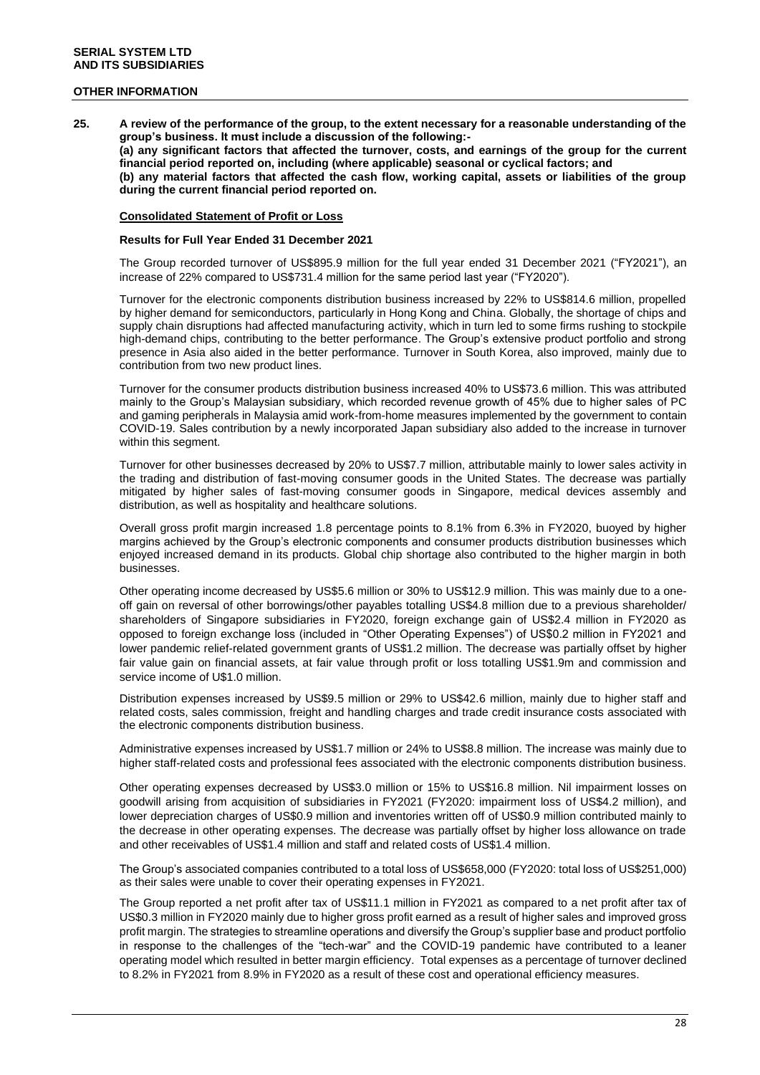**25. A review of the performance of the group, to the extent necessary for a reasonable understanding of the group's business. It must include a discussion of the following:- (a) any significant factors that affected the turnover, costs, and earnings of the group for the current financial period reported on, including (where applicable) seasonal or cyclical factors; and (b) any material factors that affected the cash flow, working capital, assets or liabilities of the group during the current financial period reported on.**

#### **Consolidated Statement of Profit or Loss**

#### **Results for Full Year Ended 31 December 2021**

The Group recorded turnover of US\$895.9 million for the full year ended 31 December 2021 ("FY2021"), an increase of 22% compared to US\$731.4 million for the same period last year ("FY2020").

Turnover for the electronic components distribution business increased by 22% to US\$814.6 million, propelled by higher demand for semiconductors, particularly in Hong Kong and China. Globally, the shortage of chips and supply chain disruptions had affected manufacturing activity, which in turn led to some firms rushing to stockpile high-demand chips, contributing to the better performance. The Group's extensive product portfolio and strong presence in Asia also aided in the better performance. Turnover in South Korea, also improved, mainly due to contribution from two new product lines.

Turnover for the consumer products distribution business increased 40% to US\$73.6 million. This was attributed mainly to the Group's Malaysian subsidiary, which recorded revenue growth of 45% due to higher sales of PC and gaming peripherals in Malaysia amid work-from-home measures implemented by the government to contain COVID-19. Sales contribution by a newly incorporated Japan subsidiary also added to the increase in turnover within this segment.

Turnover for other businesses decreased by 20% to US\$7.7 million, attributable mainly to lower sales activity in the trading and distribution of fast-moving consumer goods in the United States. The decrease was partially mitigated by higher sales of fast-moving consumer goods in Singapore, medical devices assembly and distribution, as well as hospitality and healthcare solutions.

Overall gross profit margin increased 1.8 percentage points to 8.1% from 6.3% in FY2020, buoyed by higher margins achieved by the Group's electronic components and consumer products distribution businesses which enjoyed increased demand in its products. Global chip shortage also contributed to the higher margin in both businesses.

Other operating income decreased by US\$5.6 million or 30% to US\$12.9 million. This was mainly due to a oneoff gain on reversal of other borrowings/other payables totalling US\$4.8 million due to a previous shareholder/ shareholders of Singapore subsidiaries in FY2020, foreign exchange gain of US\$2.4 million in FY2020 as opposed to foreign exchange loss (included in "Other Operating Expenses") of US\$0.2 million in FY2021 and lower pandemic relief-related government grants of US\$1.2 million. The decrease was partially offset by higher fair value gain on financial assets, at fair value through profit or loss totalling US\$1.9m and commission and service income of U\$1.0 million.

Distribution expenses increased by US\$9.5 million or 29% to US\$42.6 million, mainly due to higher staff and related costs, sales commission, freight and handling charges and trade credit insurance costs associated with the electronic components distribution business.

Administrative expenses increased by US\$1.7 million or 24% to US\$8.8 million. The increase was mainly due to higher staff-related costs and professional fees associated with the electronic components distribution business.

Other operating expenses decreased by US\$3.0 million or 15% to US\$16.8 million. Nil impairment losses on goodwill arising from acquisition of subsidiaries in FY2021 (FY2020: impairment loss of US\$4.2 million), and lower depreciation charges of US\$0.9 million and inventories written off of US\$0.9 million contributed mainly to the decrease in other operating expenses. The decrease was partially offset by higher loss allowance on trade and other receivables of US\$1.4 million and staff and related costs of US\$1.4 million.

The Group's associated companies contributed to a total loss of US\$658,000 (FY2020: total loss of US\$251,000) as their sales were unable to cover their operating expenses in FY2021.

The Group reported a net profit after tax of US\$11.1 million in FY2021 as compared to a net profit after tax of US\$0.3 million in FY2020 mainly due to higher gross profit earned as a result of higher sales and improved gross profit margin. The strategies to streamline operations and diversify the Group's supplier base and product portfolio in response to the challenges of the "tech-war" and the COVID-19 pandemic have contributed to a leaner operating model which resulted in better margin efficiency. Total expenses as a percentage of turnover declined to 8.2% in FY2021 from 8.9% in FY2020 as a result of these cost and operational efficiency measures.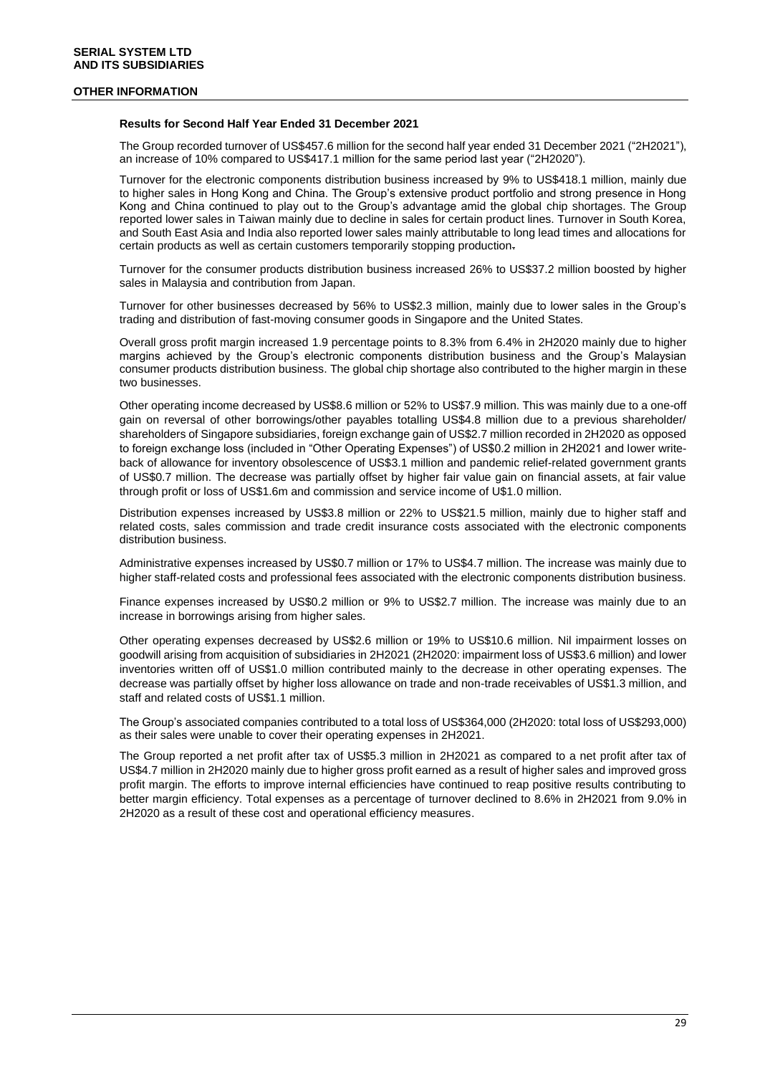#### **Results for Second Half Year Ended 31 December 2021**

The Group recorded turnover of US\$457.6 million for the second half year ended 31 December 2021 ("2H2021"), an increase of 10% compared to US\$417.1 million for the same period last year ("2H2020").

Turnover for the electronic components distribution business increased by 9% to US\$418.1 million, mainly due to higher sales in Hong Kong and China. The Group's extensive product portfolio and strong presence in Hong Kong and China continued to play out to the Group's advantage amid the global chip shortages. The Group reported lower sales in Taiwan mainly due to decline in sales for certain product lines. Turnover in South Korea, and South East Asia and India also reported lower sales mainly attributable to long lead times and allocations for certain products as well as certain customers temporarily stopping production.

Turnover for the consumer products distribution business increased 26% to US\$37.2 million boosted by higher sales in Malaysia and contribution from Japan.

Turnover for other businesses decreased by 56% to US\$2.3 million, mainly due to lower sales in the Group's trading and distribution of fast-moving consumer goods in Singapore and the United States.

Overall gross profit margin increased 1.9 percentage points to 8.3% from 6.4% in 2H2020 mainly due to higher margins achieved by the Group's electronic components distribution business and the Group's Malaysian consumer products distribution business. The global chip shortage also contributed to the higher margin in these two businesses.

Other operating income decreased by US\$8.6 million or 52% to US\$7.9 million. This was mainly due to a one-off gain on reversal of other borrowings/other payables totalling US\$4.8 million due to a previous shareholder/ shareholders of Singapore subsidiaries, foreign exchange gain of US\$2.7 million recorded in 2H2020 as opposed to foreign exchange loss (included in "Other Operating Expenses") of US\$0.2 million in 2H2021 and lower writeback of allowance for inventory obsolescence of US\$3.1 million and pandemic relief-related government grants of US\$0.7 million. The decrease was partially offset by higher fair value gain on financial assets, at fair value through profit or loss of US\$1.6m and commission and service income of U\$1.0 million.

Distribution expenses increased by US\$3.8 million or 22% to US\$21.5 million, mainly due to higher staff and related costs, sales commission and trade credit insurance costs associated with the electronic components distribution business.

Administrative expenses increased by US\$0.7 million or 17% to US\$4.7 million. The increase was mainly due to higher staff-related costs and professional fees associated with the electronic components distribution business.

Finance expenses increased by US\$0.2 million or 9% to US\$2.7 million. The increase was mainly due to an increase in borrowings arising from higher sales.

Other operating expenses decreased by US\$2.6 million or 19% to US\$10.6 million. Nil impairment losses on goodwill arising from acquisition of subsidiaries in 2H2021 (2H2020: impairment loss of US\$3.6 million) and lower inventories written off of US\$1.0 million contributed mainly to the decrease in other operating expenses. The decrease was partially offset by higher loss allowance on trade and non-trade receivables of US\$1.3 million, and staff and related costs of US\$1.1 million.

The Group's associated companies contributed to a total loss of US\$364,000 (2H2020: total loss of US\$293,000) as their sales were unable to cover their operating expenses in 2H2021.

The Group reported a net profit after tax of US\$5.3 million in 2H2021 as compared to a net profit after tax of US\$4.7 million in 2H2020 mainly due to higher gross profit earned as a result of higher sales and improved gross profit margin. The efforts to improve internal efficiencies have continued to reap positive results contributing to better margin efficiency. Total expenses as a percentage of turnover declined to 8.6% in 2H2021 from 9.0% in 2H2020 as a result of these cost and operational efficiency measures.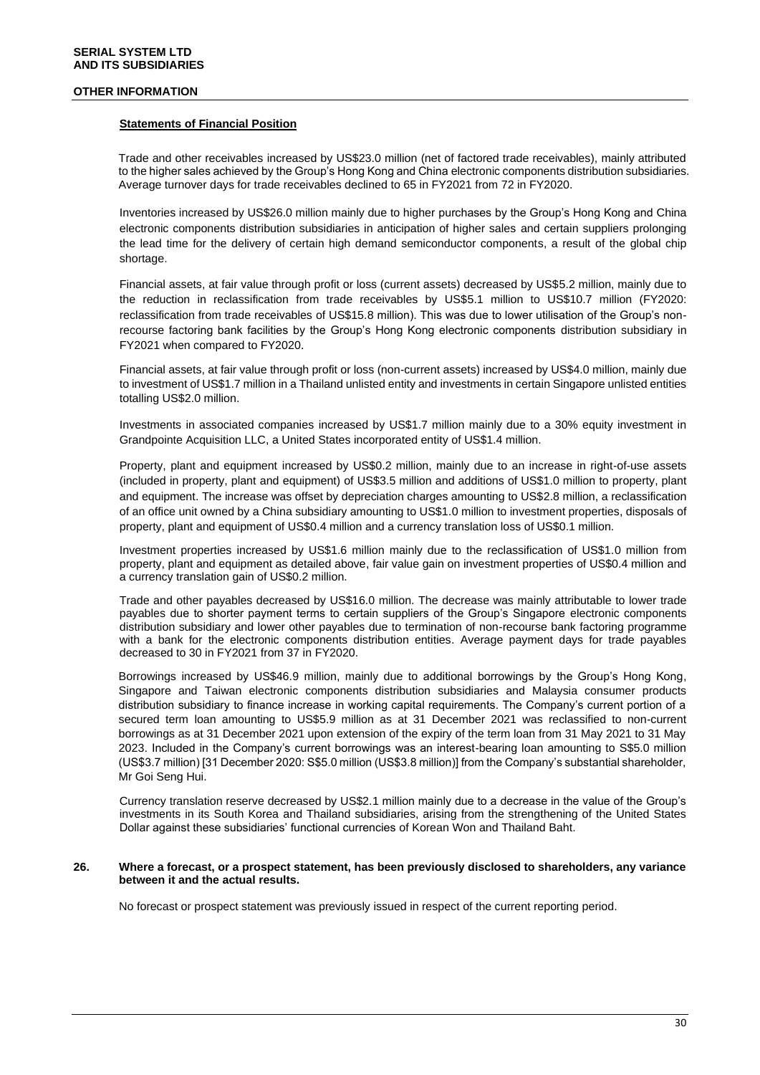#### **Statements of Financial Position**

Trade and other receivables increased by US\$23.0 million (net of factored trade receivables), mainly attributed to the higher sales achieved by the Group's Hong Kong and China electronic components distribution subsidiaries. Average turnover days for trade receivables declined to 65 in FY2021 from 72 in FY2020.

Inventories increased by US\$26.0 million mainly due to higher purchases by the Group's Hong Kong and China electronic components distribution subsidiaries in anticipation of higher sales and certain suppliers prolonging the lead time for the delivery of certain high demand semiconductor components, a result of the global chip shortage.

Financial assets, at fair value through profit or loss (current assets) decreased by US\$5.2 million, mainly due to the reduction in reclassification from trade receivables by US\$5.1 million to US\$10.7 million (FY2020: reclassification from trade receivables of US\$15.8 million). This was due to lower utilisation of the Group's nonrecourse factoring bank facilities by the Group's Hong Kong electronic components distribution subsidiary in FY2021 when compared to FY2020.

Financial assets, at fair value through profit or loss (non-current assets) increased by US\$4.0 million, mainly due to investment of US\$1.7 million in a Thailand unlisted entity and investments in certain Singapore unlisted entities totalling US\$2.0 million.

Investments in associated companies increased by US\$1.7 million mainly due to a 30% equity investment in Grandpointe Acquisition LLC, a United States incorporated entity of US\$1.4 million.

Property, plant and equipment increased by US\$0.2 million, mainly due to an increase in right-of-use assets (included in property, plant and equipment) of US\$3.5 million and additions of US\$1.0 million to property, plant and equipment. The increase was offset by depreciation charges amounting to US\$2.8 million, a reclassification of an office unit owned by a China subsidiary amounting to US\$1.0 million to investment properties, disposals of property, plant and equipment of US\$0.4 million and a currency translation loss of US\$0.1 million.

Investment properties increased by US\$1.6 million mainly due to the reclassification of US\$1.0 million from property, plant and equipment as detailed above, fair value gain on investment properties of US\$0.4 million and a currency translation gain of US\$0.2 million.

Trade and other payables decreased by US\$16.0 million. The decrease was mainly attributable to lower trade payables due to shorter payment terms to certain suppliers of the Group's Singapore electronic components distribution subsidiary and lower other payables due to termination of non-recourse bank factoring programme with a bank for the electronic components distribution entities. Average payment days for trade payables decreased to 30 in FY2021 from 37 in FY2020.

Borrowings increased by US\$46.9 million, mainly due to additional borrowings by the Group's Hong Kong, Singapore and Taiwan electronic components distribution subsidiaries and Malaysia consumer products distribution subsidiary to finance increase in working capital requirements. The Company's current portion of a secured term loan amounting to US\$5.9 million as at 31 December 2021 was reclassified to non-current borrowings as at 31 December 2021 upon extension of the expiry of the term loan from 31 May 2021 to 31 May 2023. Included in the Company's current borrowings was an interest-bearing loan amounting to S\$5.0 million (US\$3.7 million) [31 December 2020: S\$5.0 million (US\$3.8 million)] from the Company's substantial shareholder, Mr Goi Seng Hui.

Currency translation reserve decreased by US\$2.1 million mainly due to a decrease in the value of the Group's investments in its South Korea and Thailand subsidiaries, arising from the strengthening of the United States Dollar against these subsidiaries' functional currencies of Korean Won and Thailand Baht.

#### **26. Where a forecast, or a prospect statement, has been previously disclosed to shareholders, any variance between it and the actual results.**

No forecast or prospect statement was previously issued in respect of the current reporting period.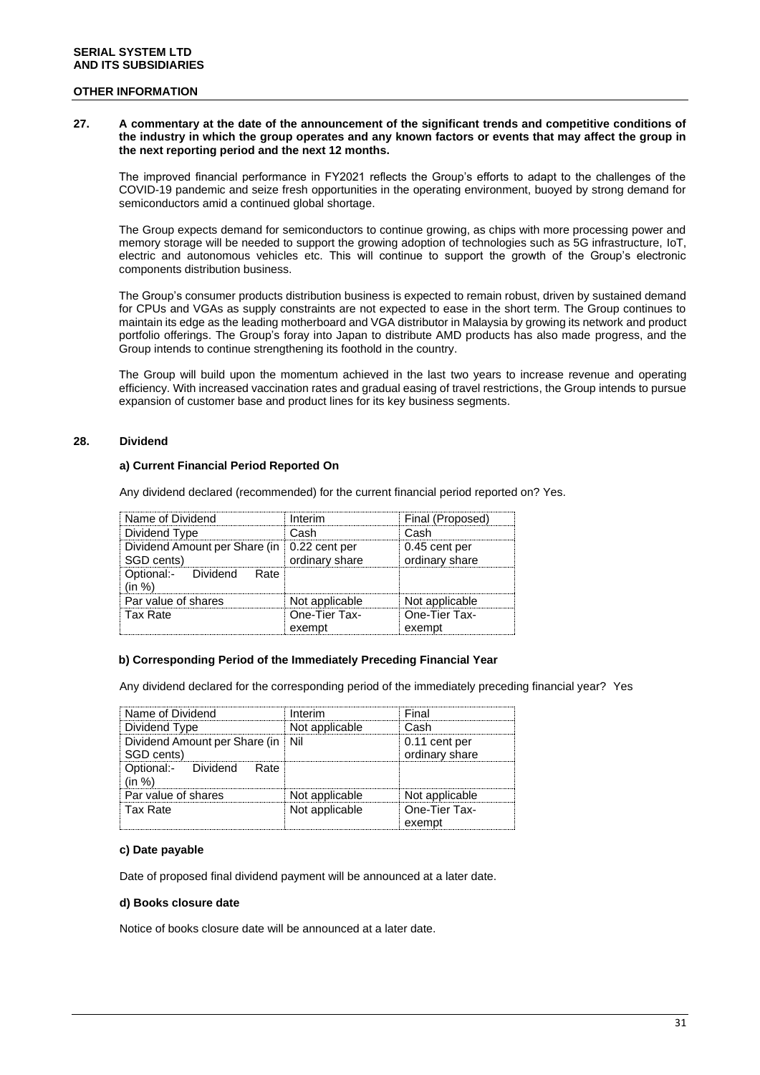#### **27. A commentary at the date of the announcement of the significant trends and competitive conditions of the industry in which the group operates and any known factors or events that may affect the group in the next reporting period and the next 12 months.**

The improved financial performance in FY2021 reflects the Group's efforts to adapt to the challenges of the COVID-19 pandemic and seize fresh opportunities in the operating environment, buoyed by strong demand for semiconductors amid a continued global shortage.

The Group expects demand for semiconductors to continue growing, as chips with more processing power and memory storage will be needed to support the growing adoption of technologies such as 5G infrastructure, IoT, electric and autonomous vehicles etc. This will continue to support the growth of the Group's electronic components distribution business.

The Group's consumer products distribution business is expected to remain robust, driven by sustained demand for CPUs and VGAs as supply constraints are not expected to ease in the short term. The Group continues to maintain its edge as the leading motherboard and VGA distributor in Malaysia by growing its network and product portfolio offerings. The Group's foray into Japan to distribute AMD products has also made progress, and the Group intends to continue strengthening its foothold in the country.

The Group will build upon the momentum achieved in the last two years to increase revenue and operating efficiency. With increased vaccination rates and gradual easing of travel restrictions, the Group intends to pursue expansion of customer base and product lines for its key business segments.

### **28. Dividend**

### **a) Current Financial Period Reported On**

Any dividend declared (recommended) for the current financial period reported on? Yes.

| Name of Dividend                                            | Interim                 | Final (Proposed)                |
|-------------------------------------------------------------|-------------------------|---------------------------------|
| Dividend Type                                               | Cash                    | Cash                            |
| Dividend Amount per Share (in   0.22 cent per<br>SGD cents) | ordinary share          | 0.45 cent per<br>ordinary share |
| Optional:- Dividend Rate<br>(in %)                          |                         |                                 |
| Par value of shares                                         | Not applicable          | Not applicable                  |
| Tax Rate                                                    | One-Tier Tax-<br>exempt | One-Tier Tax-<br>exempt         |

#### **b) Corresponding Period of the Immediately Preceding Financial Year**

Any dividend declared for the corresponding period of the immediately preceding financial year? Yes

| Name of Dividend                      | Interim        | Final                   |
|---------------------------------------|----------------|-------------------------|
| Dividend Type                         | Not applicable | Cash                    |
| Dividend Amount per Share (in Nil     |                | 0.11 cent per           |
| SGD cents)                            |                | ordinary share          |
| Optional:- Dividend<br>Rate<br>(in %) |                |                         |
| Par value of shares                   | Not applicable | Not applicable          |
| Tax Rate                              | Not applicable | One-Tier Tax-<br>exempt |

#### **c) Date payable**

Date of proposed final dividend payment will be announced at a later date.

#### **d) Books closure date**

Notice of books closure date will be announced at a later date.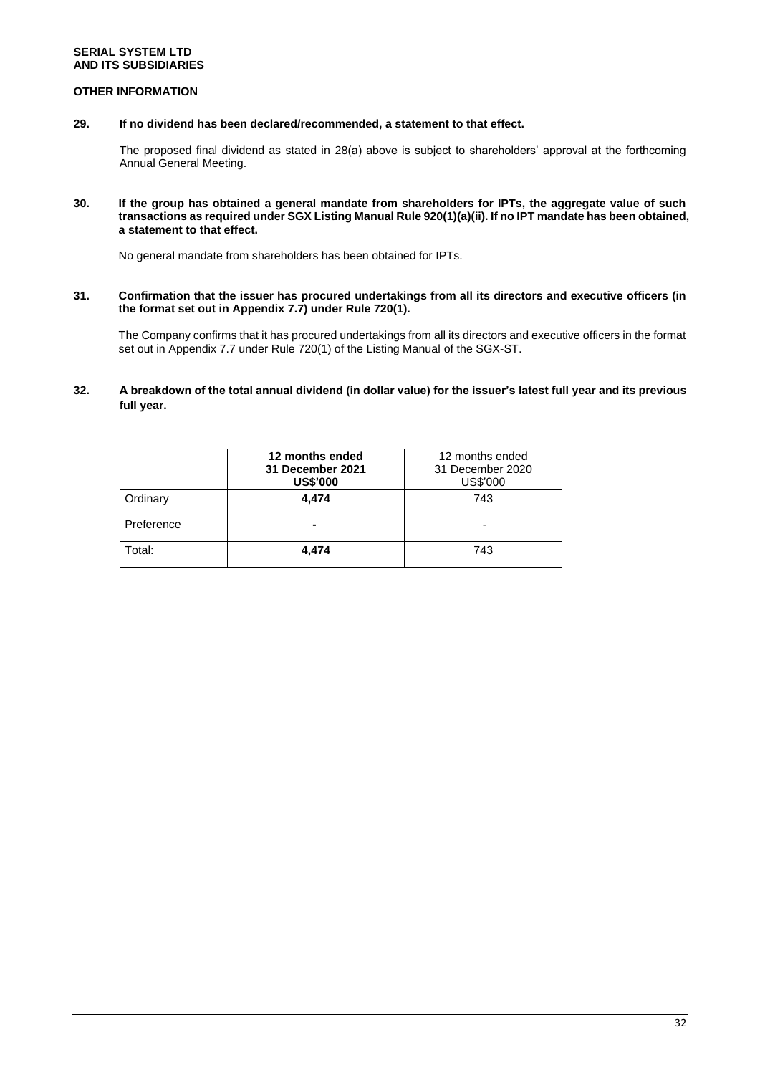### **OTHER INFORMATION**

### **29. If no dividend has been declared/recommended, a statement to that effect.**

The proposed final dividend as stated in 28(a) above is subject to shareholders' approval at the forthcoming Annual General Meeting.

#### **30. If the group has obtained a general mandate from shareholders for IPTs, the aggregate value of such transactions as required under SGX Listing Manual Rule 920(1)(a)(ii). If no IPT mandate has been obtained, a statement to that effect.**

No general mandate from shareholders has been obtained for IPTs.

#### **31. Confirmation that the issuer has procured undertakings from all its directors and executive officers (in the format set out in Appendix 7.7) under Rule 720(1).**

The Company confirms that it has procured undertakings from all its directors and executive officers in the format set out in Appendix 7.7 under Rule 720(1) of the Listing Manual of the SGX-ST.

### **32. A breakdown of the total annual dividend (in dollar value) for the issuer's latest full year and its previous full year.**

|            | 12 months ended<br>31 December 2021<br><b>US\$'000</b> | 12 months ended<br>31 December 2020<br>US\$'000 |
|------------|--------------------------------------------------------|-------------------------------------------------|
| Ordinary   | 4.474                                                  | 743                                             |
| Preference | $\blacksquare$                                         |                                                 |
| Total:     | 4.474                                                  | 743                                             |